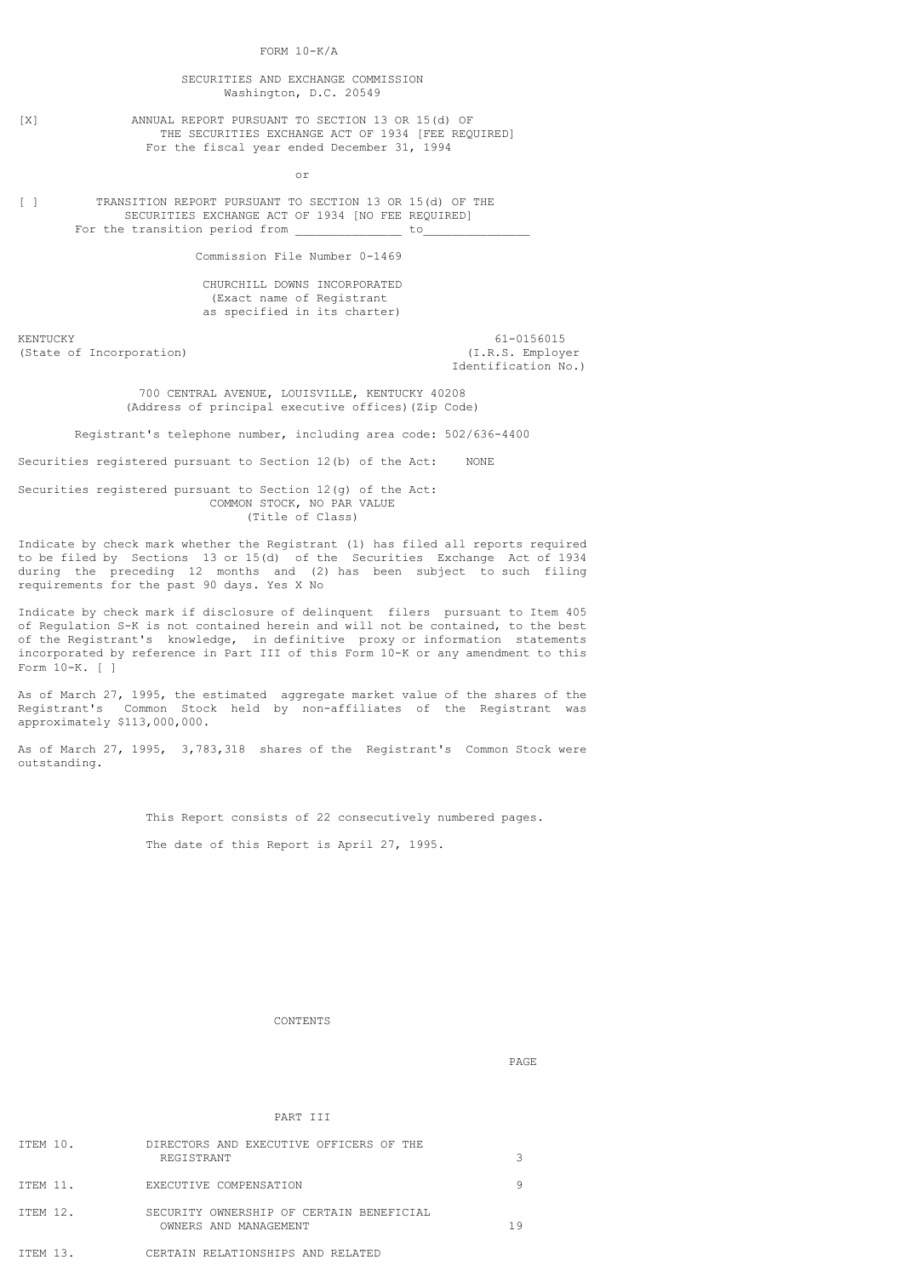FORM 10-K/A

# SECURITIES AND EXCHANGE COMMISSION Washington, D.C. 20549

[X] ANNUAL REPORT PURSUANT TO SECTION 13 OR 15(d) OF THE SECURITIES EXCHANGE ACT OF 1934 [FEE REQUIRED] For the fiscal year ended December 31, 1994

or

[ ] TRANSITION REPORT PURSUANT TO SECTION 13 OR 15(d) OF THE SECURITIES EXCHANGE ACT OF 1934 [NO FEE REQUIRED] For the transition period from

Commission File Number 0-1469

 CHURCHILL DOWNS INCORPORATED (Exact name of Registrant as specified in its charter)

KENTUCKY 61-0156015 (State of Incorporation) (I.R.S. Employer

Identification No.)

 700 CENTRAL AVENUE, LOUISVILLE, KENTUCKY 40208 (Address of principal executive offices)(Zip Code)

Registrant's telephone number, including area code: 502/636-4400

Securities registered pursuant to Section 12(b) of the Act: NONE

Securities registered pursuant to Section 12(g) of the Act: COMMON STOCK, NO PAR VALUE (Title of Class)

Indicate by check mark whether the Registrant (1) has filed all reports required to be filed by Sections 13 or 15(d) of the Securities Exchange Act of 1934 during the preceding 12 months and (2) has been subject to such filing requirements for the past 90 days. Yes X No

Indicate by check mark if disclosure of delinquent filers pursuant to Item 405 of Regulation S-K is not contained herein and will not be contained, to the best of the Registrant's knowledge, in definitive proxy or information statements incorporated by reference in Part III of this Form 10-K or any amendment to this Form 10-K. [ ]

As of March 27, 1995, the estimated aggregate market value of the shares of the Registrant's Common Stock held by non-affiliates of the Registrant was approximately \$113,000,000.

As of March 27, 1995, 3,783,318 shares of the Registrant's Common Stock were outstanding.

> This Report consists of 22 consecutively numbered pages. The date of this Report is April 27, 1995.

> > CONTENTS

PART III

PAGE

| ITEM 10. |            |  | DIRECTORS AND EXECUTIVE OFFICERS OF THE |  |  |  |  |
|----------|------------|--|-----------------------------------------|--|--|--|--|
|          | REGISTRANT |  |                                         |  |  |  |  |

| TTEM 11.        | EXECUTIVE COMPENSATION                                            |     |
|-----------------|-------------------------------------------------------------------|-----|
| <b>TTEM 12.</b> | SECURITY OWNERSHIP OF CERTAIN BENEFICIAL<br>OWNERS AND MANAGEMENT | 1 Q |

ITEM 13. CERTAIN RELATIONSHIPS AND RELATED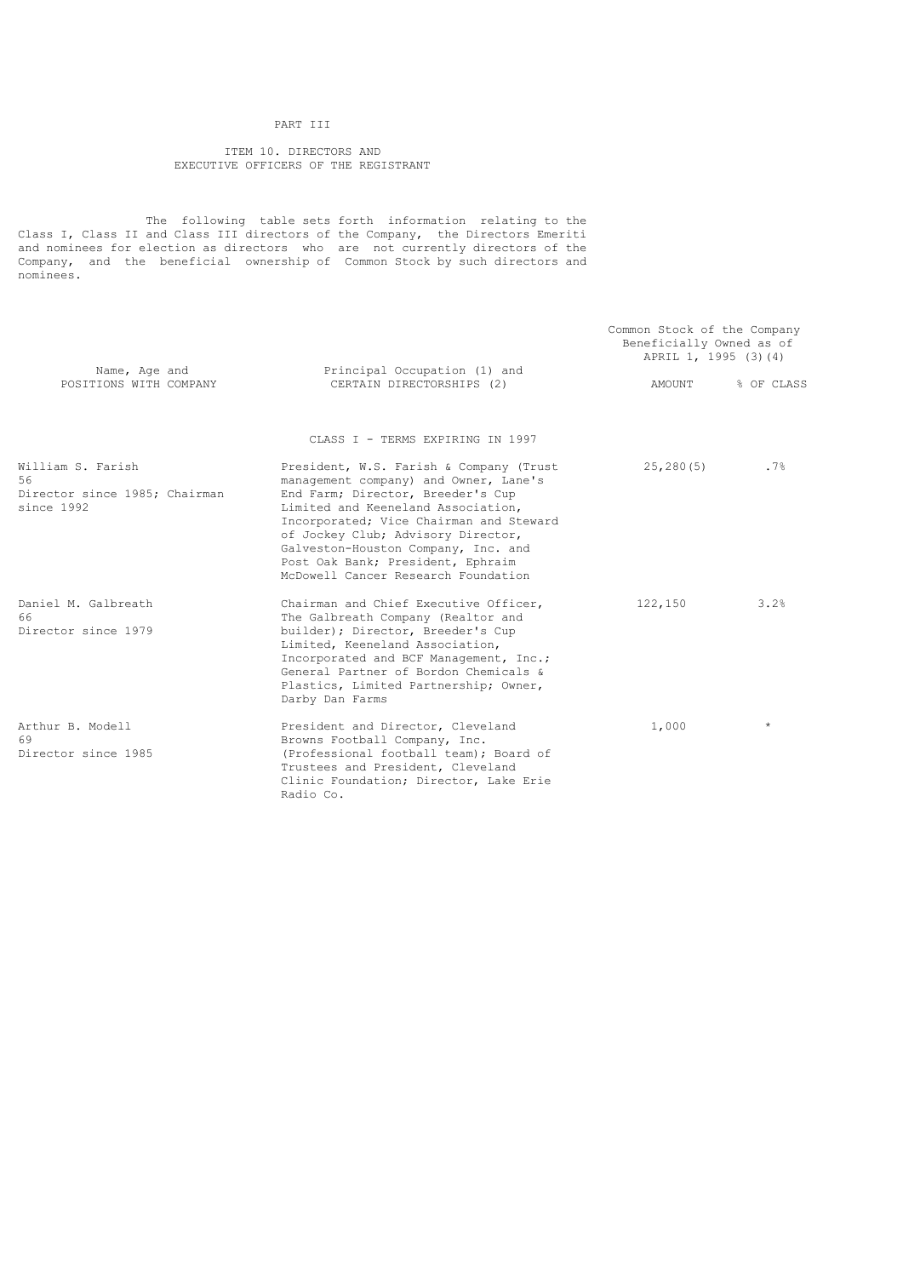# PART III

 ITEM 10. DIRECTORS AND EXECUTIVE OFFICERS OF THE REGISTRANT

 The following table sets forth information relating to the Class I, Class II and Class III directors of the Company, the Directors Emeriti and nominees for election as directors who are not currently directors of the Company, and the beneficial ownership of Common Stock by such directors and nominees.

|                                                                        |                                                                                                                                                                                                                                                                                                                                                                 | Common Stock of the Company<br>Beneficially Owned as of<br>APRIL 1, 1995 (3) (4) |            |  |
|------------------------------------------------------------------------|-----------------------------------------------------------------------------------------------------------------------------------------------------------------------------------------------------------------------------------------------------------------------------------------------------------------------------------------------------------------|----------------------------------------------------------------------------------|------------|--|
| Name, Age and<br>POSITIONS WITH COMPANY                                | Principal Occupation (1) and<br>CERTAIN DIRECTORSHIPS (2)                                                                                                                                                                                                                                                                                                       | AMOUNT                                                                           | % OF CLASS |  |
|                                                                        | CLASS T - TERMS EXPIRING IN 1997                                                                                                                                                                                                                                                                                                                                |                                                                                  |            |  |
| William S. Farish<br>56<br>Director since 1985; Chairman<br>since 1992 | President, W.S. Farish & Company (Trust<br>management company) and Owner, Lane's<br>End Farm; Director, Breeder's Cup<br>Limited and Keeneland Association,<br>Incorporated; Vice Chairman and Steward<br>of Jockey Club; Advisory Director,<br>Galveston-Houston Company, Inc. and<br>Post Oak Bank; President, Ephraim<br>McDowell Cancer Research Foundation | 25, 280(5)                                                                       | .7%        |  |
| Daniel M. Galbreath<br>66<br>Director since 1979                       | Chairman and Chief Executive Officer,<br>The Galbreath Company (Realtor and<br>builder); Director, Breeder's Cup<br>Limited, Keeneland Association,<br>Incorporated and BCF Management, Inc.;<br>General Partner of Bordon Chemicals &<br>Plastics, Limited Partnership; Owner,<br>Darby Dan Farms                                                              | 122,150                                                                          | 3.2%       |  |
| Arthur B. Modell<br>69<br>Director since 1985                          | President and Director, Cleveland<br>Browns Football Company, Inc.<br>(Professional football team); Board of<br>Trustees and President, Cleveland<br>Clinic Foundation; Director, Lake Erie<br>Radio Co.                                                                                                                                                        | 1,000                                                                            | $\star$    |  |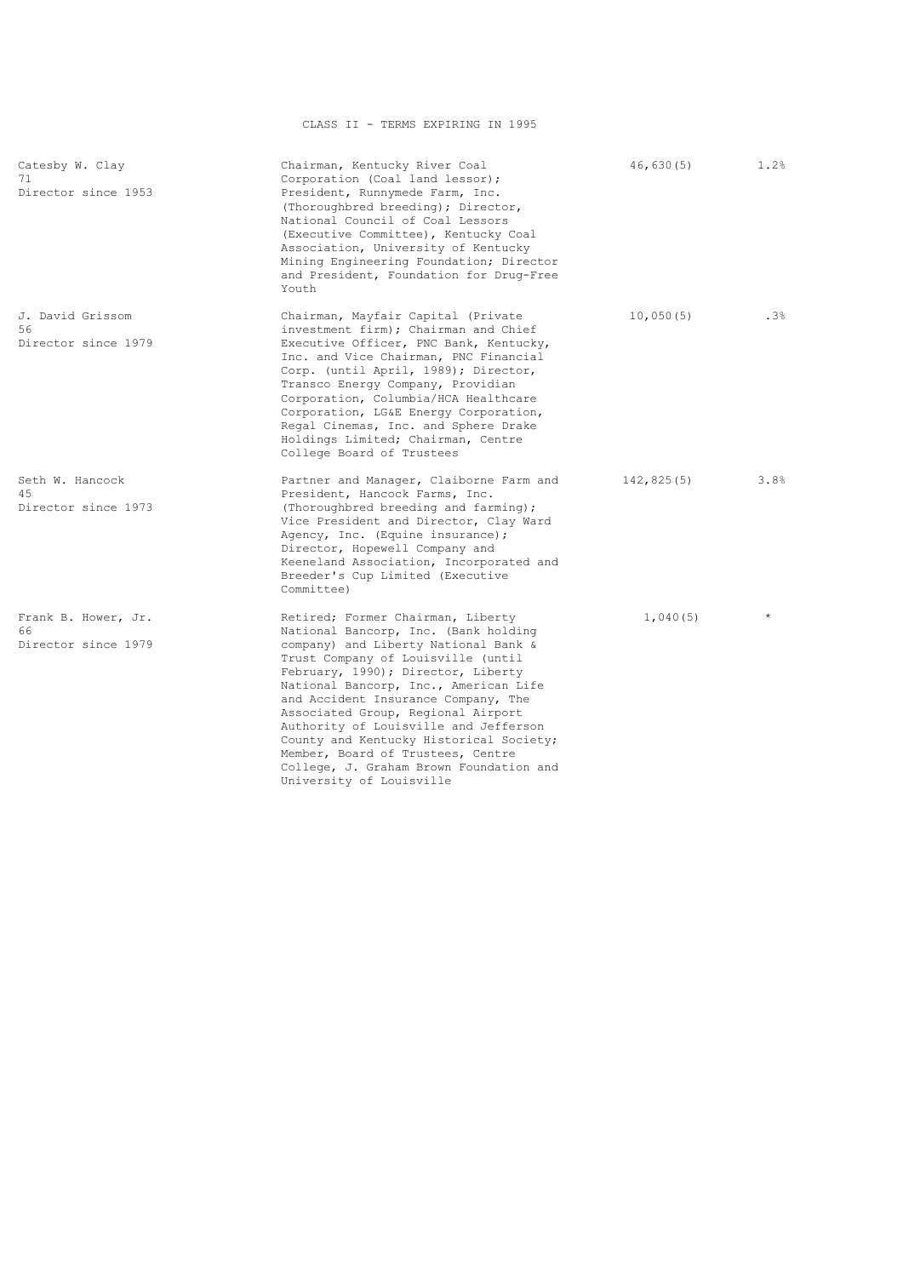| Catesby W. Clay<br>71<br>Director since 1953     | Chairman, Kentucky River Coal<br>Corporation (Coal land lessor);<br>President, Runnymede Farm, Inc.<br>(Thoroughbred breeding); Director,<br>National Council of Coal Lessors<br>(Executive Committee), Kentucky Coal<br>Association, University of Kentucky<br>Mining Engineering Foundation; Director<br>and President, Foundation for Drug-Free<br>Youth                                                                                                                                                         | 46,630(5)  | 1.2%    |
|--------------------------------------------------|---------------------------------------------------------------------------------------------------------------------------------------------------------------------------------------------------------------------------------------------------------------------------------------------------------------------------------------------------------------------------------------------------------------------------------------------------------------------------------------------------------------------|------------|---------|
| J. David Grissom<br>56<br>Director since 1979    | Chairman, Mayfair Capital (Private<br>investment firm); Chairman and Chief<br>Executive Officer, PNC Bank, Kentucky,<br>Inc. and Vice Chairman, PNC Financial<br>Corp. (until April, 1989); Director,<br>Transco Energy Company, Providian<br>Corporation, Columbia/HCA Healthcare<br>Corporation, LG&E Energy Corporation,<br>Regal Cinemas, Inc. and Sphere Drake<br>Holdings Limited; Chairman, Centre<br>College Board of Trustees                                                                              | 10,050(5)  | .3%     |
| Seth W. Hancock<br>4.5<br>Director since 1973    | Partner and Manager, Claiborne Farm and<br>President, Hancock Farms, Inc.<br>(Thoroughbred breeding and farming);<br>Vice President and Director, Clay Ward<br>Agency, Inc. (Equine insurance);<br>Director, Hopewell Company and<br>Keeneland Association, Incorporated and<br>Breeder's Cup Limited (Executive<br>Committee)                                                                                                                                                                                      | 142,825(5) | 3.8%    |
| Frank B. Hower, Jr.<br>66<br>Director since 1979 | Retired; Former Chairman, Liberty<br>National Bancorp, Inc. (Bank holding<br>company) and Liberty National Bank &<br>Trust Company of Louisville (until<br>February, 1990); Director, Liberty<br>National Bancorp, Inc., American Life<br>and Accident Insurance Company, The<br>Associated Group, Regional Airport<br>Authority of Louisville and Jefferson<br>County and Kentucky Historical Society;<br>Member, Board of Trustees, Centre<br>College, J. Graham Brown Foundation and<br>University of Louisville | 1,040(5)   | $\star$ |

CLASS II - TERMS EXPIRING IN 1995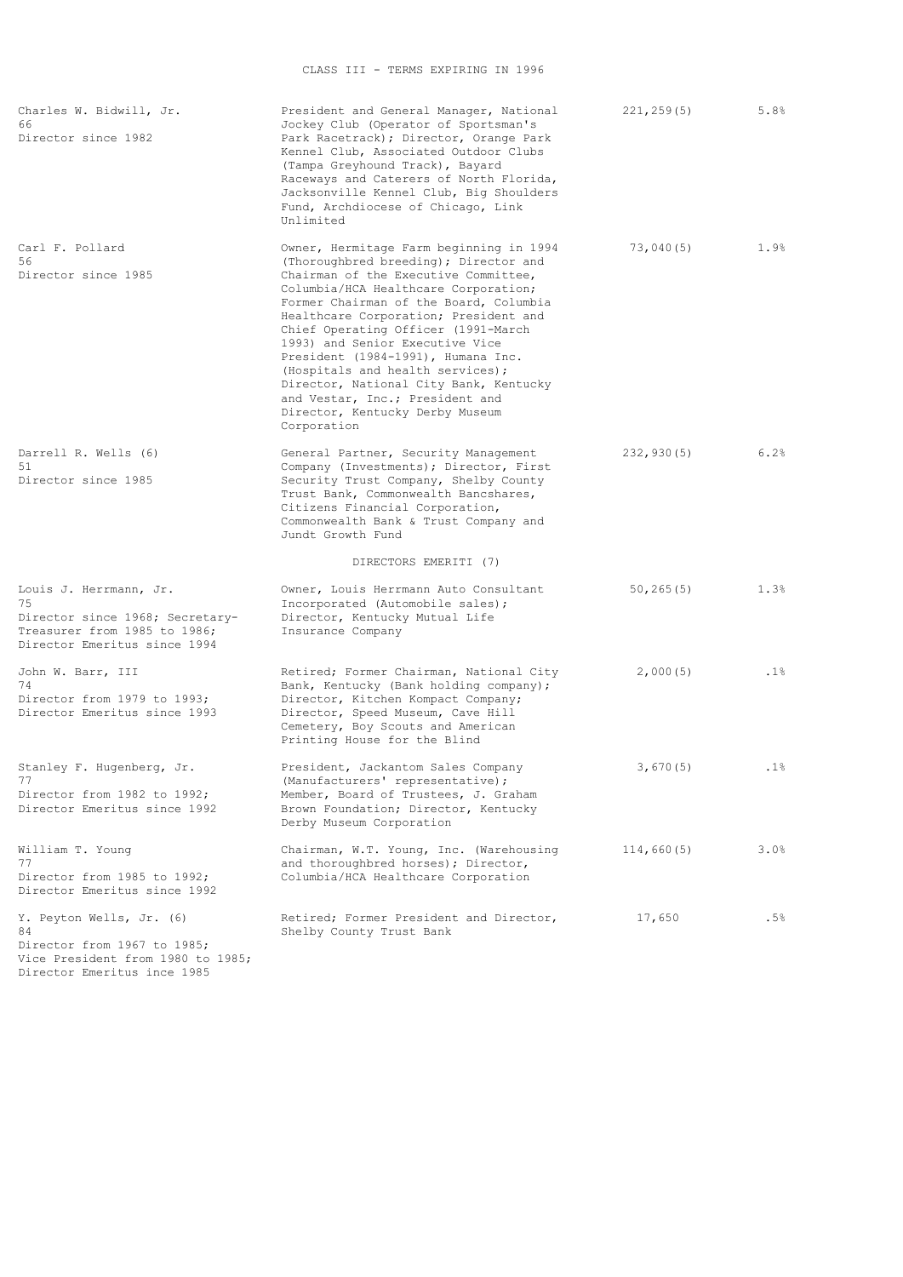| Charles W. Bidwill, Jr.<br>66<br>Director since 1982                                                                            | President and General Manager, National<br>Jockey Club (Operator of Sportsman's<br>Park Racetrack); Director, Orange Park<br>Kennel Club, Associated Outdoor Clubs<br>(Tampa Greyhound Track), Bayard<br>Raceways and Caterers of North Florida,<br>Jacksonville Kennel Club, Big Shoulders<br>Fund, Archdiocese of Chicago, Link<br>Unlimited                                                                                                                                                                                         | 221, 259(5) | 5.8% |
|---------------------------------------------------------------------------------------------------------------------------------|----------------------------------------------------------------------------------------------------------------------------------------------------------------------------------------------------------------------------------------------------------------------------------------------------------------------------------------------------------------------------------------------------------------------------------------------------------------------------------------------------------------------------------------|-------------|------|
| Carl F. Pollard<br>56<br>Director since 1985                                                                                    | Owner, Hermitage Farm beginning in 1994<br>(Thoroughbred breeding); Director and<br>Chairman of the Executive Committee,<br>Columbia/HCA Healthcare Corporation;<br>Former Chairman of the Board, Columbia<br>Healthcare Corporation; President and<br>Chief Operating Officer (1991-March<br>1993) and Senior Executive Vice<br>President (1984-1991), Humana Inc.<br>(Hospitals and health services);<br>Director, National City Bank, Kentucky<br>and Vestar, Inc.; President and<br>Director, Kentucky Derby Museum<br>Corporation | 73,040(5)   | 1.9% |
| Darrell R. Wells (6)<br>51<br>Director since 1985                                                                               | General Partner, Security Management<br>Company (Investments); Director, First<br>Security Trust Company, Shelby County<br>Trust Bank, Commonwealth Bancshares,<br>Citizens Financial Corporation,<br>Commonwealth Bank & Trust Company and<br>Jundt Growth Fund                                                                                                                                                                                                                                                                       | 232,930(5)  | 6.2% |
|                                                                                                                                 | DIRECTORS EMERITI (7)                                                                                                                                                                                                                                                                                                                                                                                                                                                                                                                  |             |      |
| Louis J. Herrmann, Jr.<br>75<br>Director since 1968; Secretary-<br>Treasurer from 1985 to 1986;<br>Director Emeritus since 1994 | Owner, Louis Herrmann Auto Consultant<br>Incorporated (Automobile sales);<br>Director, Kentucky Mutual Life<br>Insurance Company                                                                                                                                                                                                                                                                                                                                                                                                       | 50, 265(5)  | 1.3% |
| John W. Barr, III<br>74<br>Director from 1979 to 1993;<br>Director Emeritus since 1993                                          | Retired; Former Chairman, National City<br>Bank, Kentucky (Bank holding company);<br>Director, Kitchen Kompact Company;<br>Director, Speed Museum, Cave Hill<br>Cemetery, Boy Scouts and American<br>Printing House for the Blind                                                                                                                                                                                                                                                                                                      | 2,000(5)    | .1%  |
| Stanley F. Hugenberg, Jr.<br>77<br>Director from 1982 to 1992;<br>Director Emeritus since 1992                                  | President, Jackantom Sales Company<br>(Manufacturers' representative);<br>Member, Board of Trustees, J. Graham<br>Brown Foundation; Director, Kentucky<br>Derby Museum Corporation                                                                                                                                                                                                                                                                                                                                                     | 3,670(5)    | .1%  |
| William T. Young<br>77<br>Director from 1985 to 1992;<br>Director Emeritus since 1992                                           | Chairman, W.T. Young, Inc. (Warehousing<br>and thoroughbred horses); Director,<br>Columbia/HCA Healthcare Corporation                                                                                                                                                                                                                                                                                                                                                                                                                  | 114,660(5)  | 3.0% |
| Y. Peyton Wells, Jr. (6)<br>84<br>Director from 1967 to 1985;<br>Vice President from 1980 to 1985;                              | Retired; Former President and Director,<br>Shelby County Trust Bank                                                                                                                                                                                                                                                                                                                                                                                                                                                                    | 17,650      | .5%  |

Vice President from 1980 to 1985; Director Emeritus ince 1985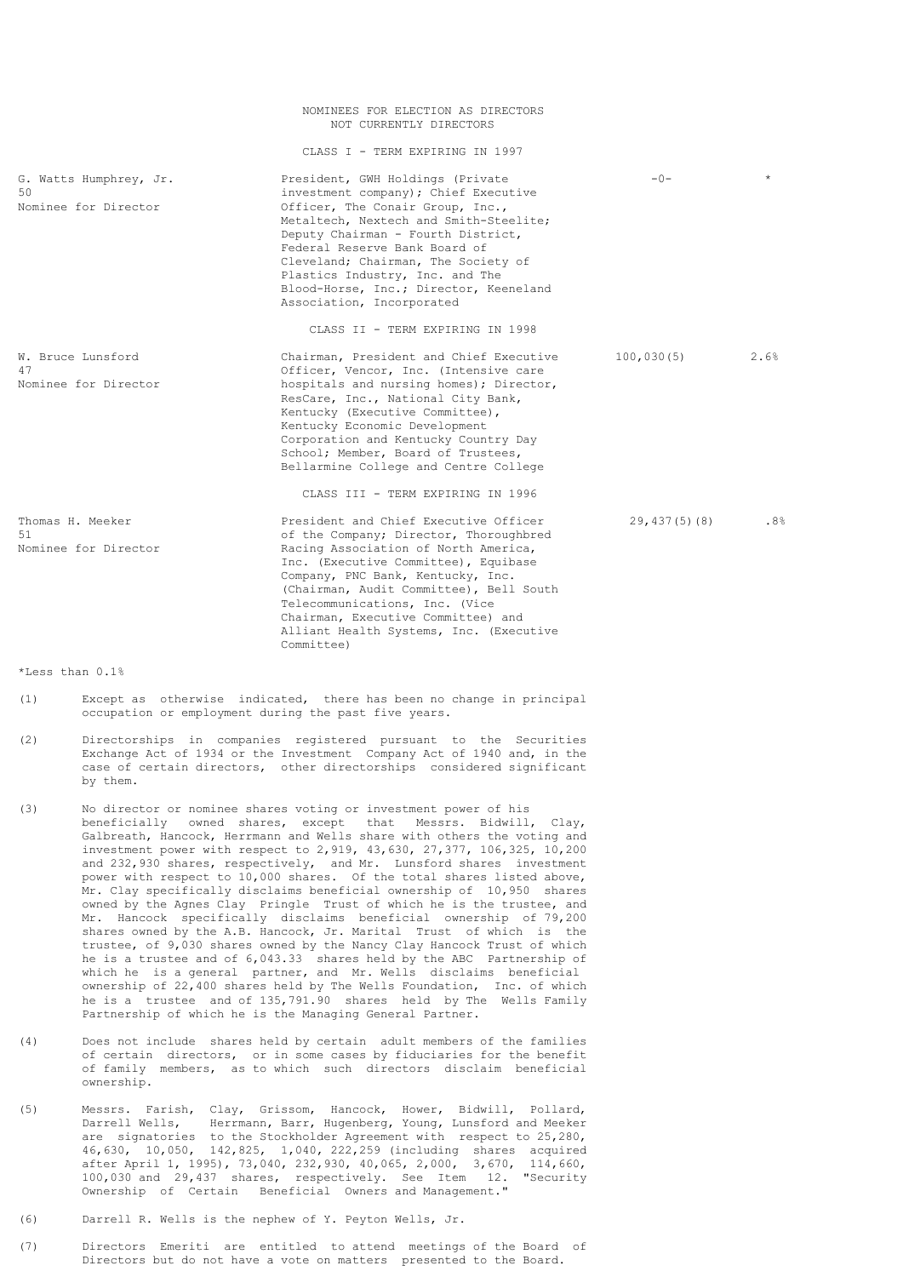|                                                      | NOMINEES FOR ELECTION AS DIRECTORS<br>NOT CURRENTLY DIRECTORS                                                                                                                                                                                                                                                                                                                  |              |         |
|------------------------------------------------------|--------------------------------------------------------------------------------------------------------------------------------------------------------------------------------------------------------------------------------------------------------------------------------------------------------------------------------------------------------------------------------|--------------|---------|
|                                                      | CLASS I - TERM EXPIRING IN 1997                                                                                                                                                                                                                                                                                                                                                |              |         |
| G. Watts Humphrey, Jr.<br>50<br>Nominee for Director | President, GWH Holdings (Private<br>investment company); Chief Executive<br>Officer, The Conair Group, Inc.,<br>Metaltech, Nextech and Smith-Steelite;<br>Deputy Chairman - Fourth District,<br>Federal Reserve Bank Board of<br>Cleveland; Chairman, The Society of<br>Plastics Industry, Inc. and The<br>Blood-Horse, Inc.; Director, Keeneland<br>Association, Incorporated | $-0-$        | $\star$ |
|                                                      | CLASS II - TERM EXPIRING IN 1998                                                                                                                                                                                                                                                                                                                                               |              |         |
| W. Bruce Lunsford<br>47<br>Nominee for Director      | Chairman, President and Chief Executive<br>Officer, Vencor, Inc. (Intensive care<br>hospitals and nursing homes); Director,<br>ResCare, Inc., National City Bank,<br>Kentucky (Executive Committee),<br>Kentucky Economic Development<br>Corporation and Kentucky Country Day<br>School; Member, Board of Trustees,<br>Bellarmine College and Centre College                   | 100,030(5)   | 2.6%    |
|                                                      | CLASS III - TERM EXPIRING IN 1996                                                                                                                                                                                                                                                                                                                                              |              |         |
| Thomas H. Meeker<br>51<br>Nominee for Director       | President and Chief Executive Officer<br>of the Company; Director, Thoroughbred<br>Racing Association of North America,<br>Inc. (Executive Committee), Equibase<br>Company, PNC Bank, Kentucky, Inc.<br>(Chairman, Audit Committee), Bell South<br>Telecommunications, Inc. (Vice<br>Chairman, Executive Committee) and                                                        | 29,437(5)(8) | .8%     |

Alliant Health Systems, Inc. (Executive

\*Less than 0.1%

(1) Except as otherwise indicated, there has been no change in principal occupation or employment during the past five years.

Committee)

- (2) Directorships in companies registered pursuant to the Securities Exchange Act of 1934 or the Investment Company Act of 1940 and, in the case of certain directors, other directorships considered significant by them.
- (3) No director or nominee shares voting or investment power of his beneficially owned shares, except that Messrs. Bidwill, Clay, Galbreath, Hancock, Herrmann and Wells share with others the voting and investment power with respect to 2,919, 43,630, 27,377, 106,325, 10,200 and 232,930 shares, respectively, and Mr. Lunsford shares investment power with respect to 10,000 shares. Of the total shares listed above, Mr. Clay specifically disclaims beneficial ownership of 10,950 shares owned by the Agnes Clay Pringle Trust of which he is the trustee, and Mr. Hancock specifically disclaims beneficial ownership of 79,200 shares owned by the A.B. Hancock, Jr. Marital Trust of which is the trustee, of 9,030 shares owned by the Nancy Clay Hancock Trust of which he is a trustee and of 6,043.33 shares held by the ABC Partnership of which he is a general partner, and Mr. Wells disclaims beneficial ownership of 22,400 shares held by The Wells Foundation, Inc. of which he is a trustee and of 135,791.90 shares held by The Wells Family Partnership of which he is the Managing General Partner.
- (4) Does not include shares held by certain adult members of the families of certain directors, or in some cases by fiduciaries for the benefit of family members, as to which such directors disclaim beneficial ownership.
- (5) Messrs. Farish, Clay, Grissom, Hancock, Hower, Bidwill, Pollard, Herrmann, Barr, Hugenberg, Young, Lunsford and Meeker are signatories to the Stockholder Agreement with respect to 25,280, 46,630, 10,050, 142,825, 1,040, 222,259 (including shares acquired after April 1, 1995), 73,040, 232,930, 40,065, 2,000, 3,670, 114,660, 100,030 and 29,437 shares, respectively. See Item 12. "Security Ownership of Certain Beneficial Owners and Management."
- (6) Darrell R. Wells is the nephew of Y. Peyton Wells, Jr.
- (7) Directors Emeriti are entitled to attend meetings of the Board of Directors but do not have a vote on matters presented to the Board.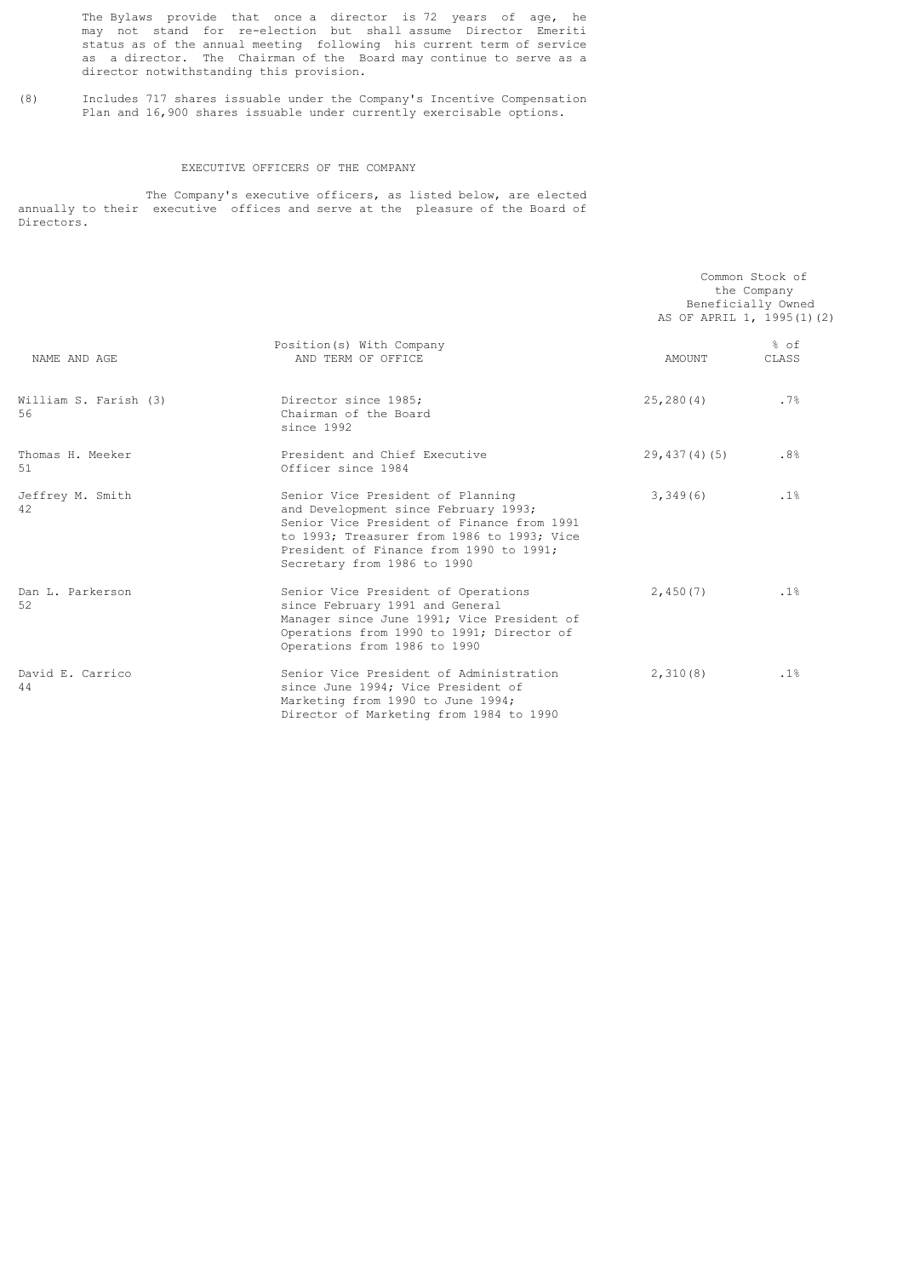The Bylaws provide that once a director is 72 years of age, he may not stand for re-election but shall assume Director Emeriti status as of the annual meeting following his current term of service as a director. The Chairman of the Board may continue to serve as a director notwithstanding this provision.

(8) Includes 717 shares issuable under the Company's Incentive Compensation Plan and 16,900 shares issuable under currently exercisable options.

# EXECUTIVE OFFICERS OF THE COMPANY

 The Company's executive officers, as listed below, are elected annually to their executive offices and serve at the pleasure of the Board of Directors.

|                             |                                                                                                                                                                                                                                                 | Common Stock of<br>the Company<br>Beneficially Owned<br>AS OF APRIL 1, 1995(1)(2) |               |  |
|-----------------------------|-------------------------------------------------------------------------------------------------------------------------------------------------------------------------------------------------------------------------------------------------|-----------------------------------------------------------------------------------|---------------|--|
| NAME AND AGE                | Position (s) With Company<br>AND TERM OF OFFICE                                                                                                                                                                                                 | AMOUNT                                                                            | % of<br>CLASS |  |
| William S. Farish (3)<br>56 | Director since 1985;<br>Chairman of the Board<br>since 1992                                                                                                                                                                                     | 25, 280(4)                                                                        | .7%           |  |
| Thomas H. Meeker<br>51      | President and Chief Executive<br>Officer since 1984                                                                                                                                                                                             | 29,437(4)(5)                                                                      | .8%           |  |
| Jeffrey M. Smith<br>42      | Senior Vice President of Planning<br>and Development since February 1993;<br>Senior Vice President of Finance from 1991<br>to 1993; Treasurer from 1986 to 1993; Vice<br>President of Finance from 1990 to 1991;<br>Secretary from 1986 to 1990 | 3,349(6)                                                                          | .1%           |  |
| Dan L. Parkerson<br>52      | Senior Vice President of Operations<br>since February 1991 and General<br>Manager since June 1991; Vice President of<br>Operations from 1990 to 1991; Director of<br>Operations from 1986 to 1990                                               | 2,450(7)                                                                          | .1%           |  |
| David E. Carrico<br>44      | Senior Vice President of Administration<br>since June 1994; Vice President of<br>Marketing from 1990 to June 1994;<br>Director of Marketing from 1984 to 1990                                                                                   | 2,310(8)                                                                          | .1%           |  |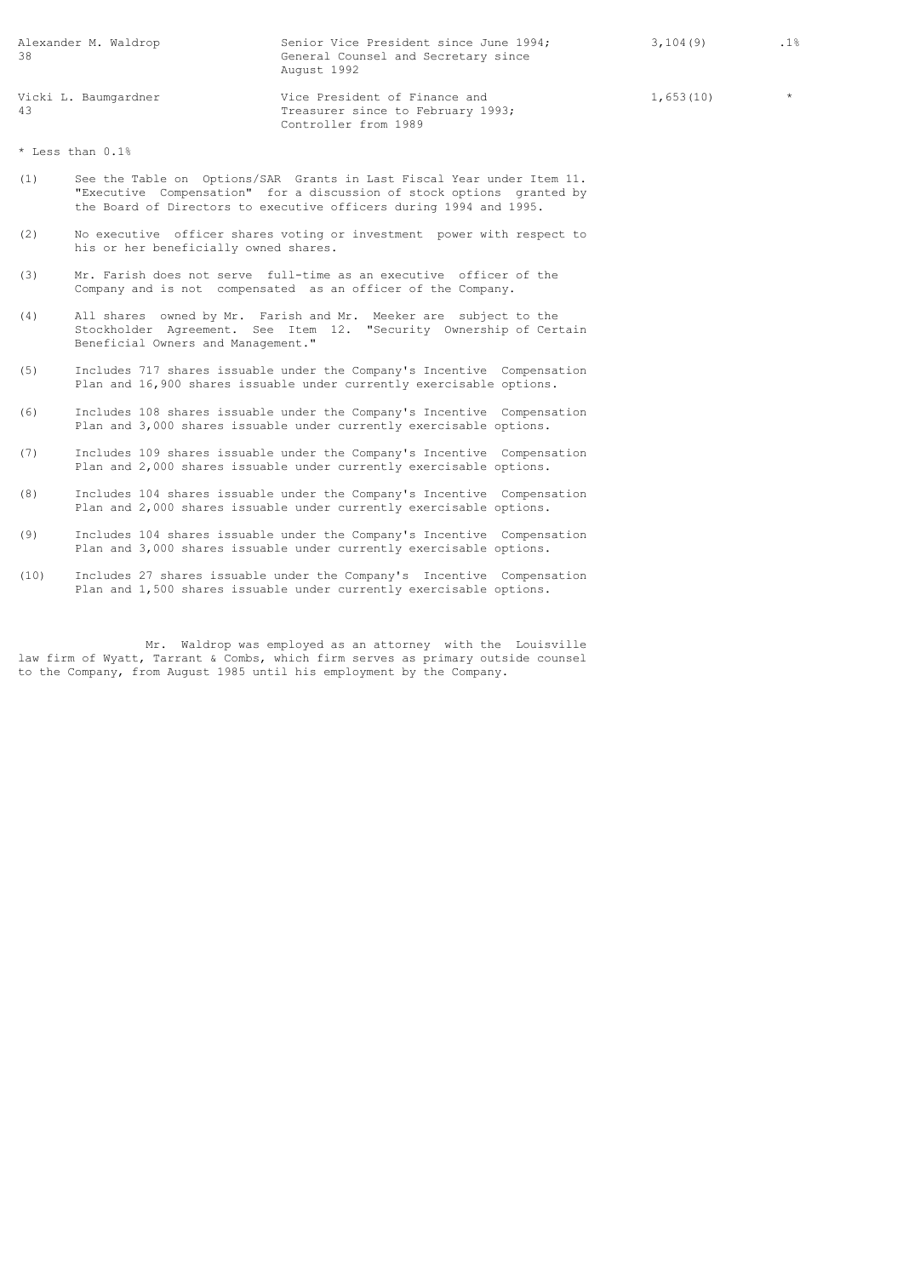| Alexander M. Waldrop<br>38 | Senior Vice President since June 1994;<br>General Counsel and Secretary since<br>August 1992 | 3,104(9)  | $.1\%$ |
|----------------------------|----------------------------------------------------------------------------------------------|-----------|--------|
| Vicki L. Baumgardner       | Vice President of Finance and                                                                | 1,653(10) |        |
| 43                         | Treasurer since to February 1993;                                                            |           |        |
|                            | Controller from 1989                                                                         |           |        |

\* Less than 0.1%

- (1) See the Table on Options/SAR Grants in Last Fiscal Year under Item 11. "Executive Compensation" for a discussion of stock options granted by the Board of Directors to executive officers during 1994 and 1995.
- (2) No executive officer shares voting or investment power with respect to his or her beneficially owned shares.
- (3) Mr. Farish does not serve full-time as an executive officer of the Company and is not compensated as an officer of the Company.
- (4) All shares owned by Mr. Farish and Mr. Meeker are subject to the Stockholder Agreement. See Item 12. "Security Ownership of Certain Beneficial Owners and Management."
- (5) Includes 717 shares issuable under the Company's Incentive Compensation Plan and 16,900 shares issuable under currently exercisable options.
- (6) Includes 108 shares issuable under the Company's Incentive Compensation Plan and 3,000 shares issuable under currently exercisable options.
- (7) Includes 109 shares issuable under the Company's Incentive Compensation Plan and 2,000 shares issuable under currently exercisable options.
- (8) Includes 104 shares issuable under the Company's Incentive Compensation Plan and 2,000 shares issuable under currently exercisable options.
- (9) Includes 104 shares issuable under the Company's Incentive Compensation Plan and 3,000 shares issuable under currently exercisable options.
- (10) Includes 27 shares issuable under the Company's Incentive Compensation Plan and 1,500 shares issuable under currently exercisable options.

 Mr. Waldrop was employed as an attorney with the Louisville law firm of Wyatt, Tarrant & Combs, which firm serves as primary outside counsel to the Company, from August 1985 until his employment by the Company.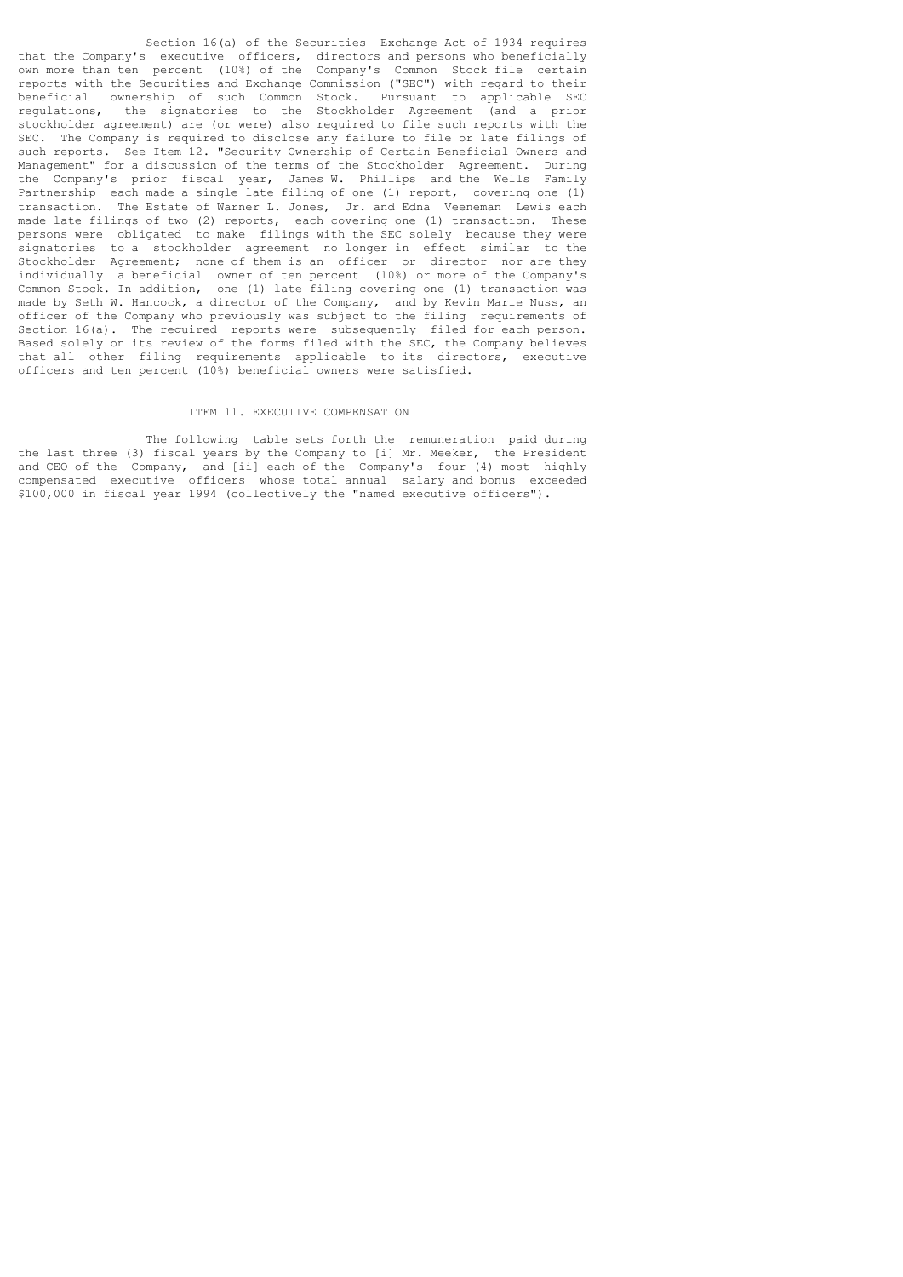Section 16(a) of the Securities Exchange Act of 1934 requires that the Company's executive officers, directors and persons who beneficially own more than ten percent (10%) of the Company's Common Stock file certain reports with the Securities and Exchange Commission ("SEC") with regard to their beneficial ownership of such Common Stock. Pursuant to applicable SEC regulations, the signatories to the Stockholder Agreement (and a prior stockholder agreement) are (or were) also required to file such reports with the SEC. The Company is required to disclose any failure to file or late filings of such reports. See Item 12. "Security Ownership of Certain Beneficial Owners and Management" for a discussion of the terms of the Stockholder Agreement. During the Company's prior fiscal year, James W. Phillips and the Wells Family Partnership each made a single late filing of one (1) report, covering one (1) transaction. The Estate of Warner L. Jones, Jr. and Edna Veeneman Lewis each made late filings of two (2) reports, each covering one (1) transaction. These persons were obligated to make filings with the SEC solely because they were signatories to a stockholder agreement no longer in effect similar to the Stockholder Agreement; none of them is an officer or director nor are they individually a beneficial owner of ten percent (10%) or more of the Company's Common Stock. In addition, one (1) late filing covering one (1) transaction was made by Seth W. Hancock, a director of the Company, and by Kevin Marie Nuss, an officer of the Company who previously was subject to the filing requirements of Section 16(a). The required reports were subsequently filed for each person. Based solely on its review of the forms filed with the SEC, the Company believes that all other filing requirements applicable to its directors, executive officers and ten percent (10%) beneficial owners were satisfied.

### ITEM 11. EXECUTIVE COMPENSATION

 The following table sets forth the remuneration paid during the last three (3) fiscal years by the Company to [i] Mr. Meeker, the President and CEO of the Company, and [ii] each of the Company's four (4) most highly compensated executive officers whose total annual salary and bonus exceeded \$100,000 in fiscal year 1994 (collectively the "named executive officers").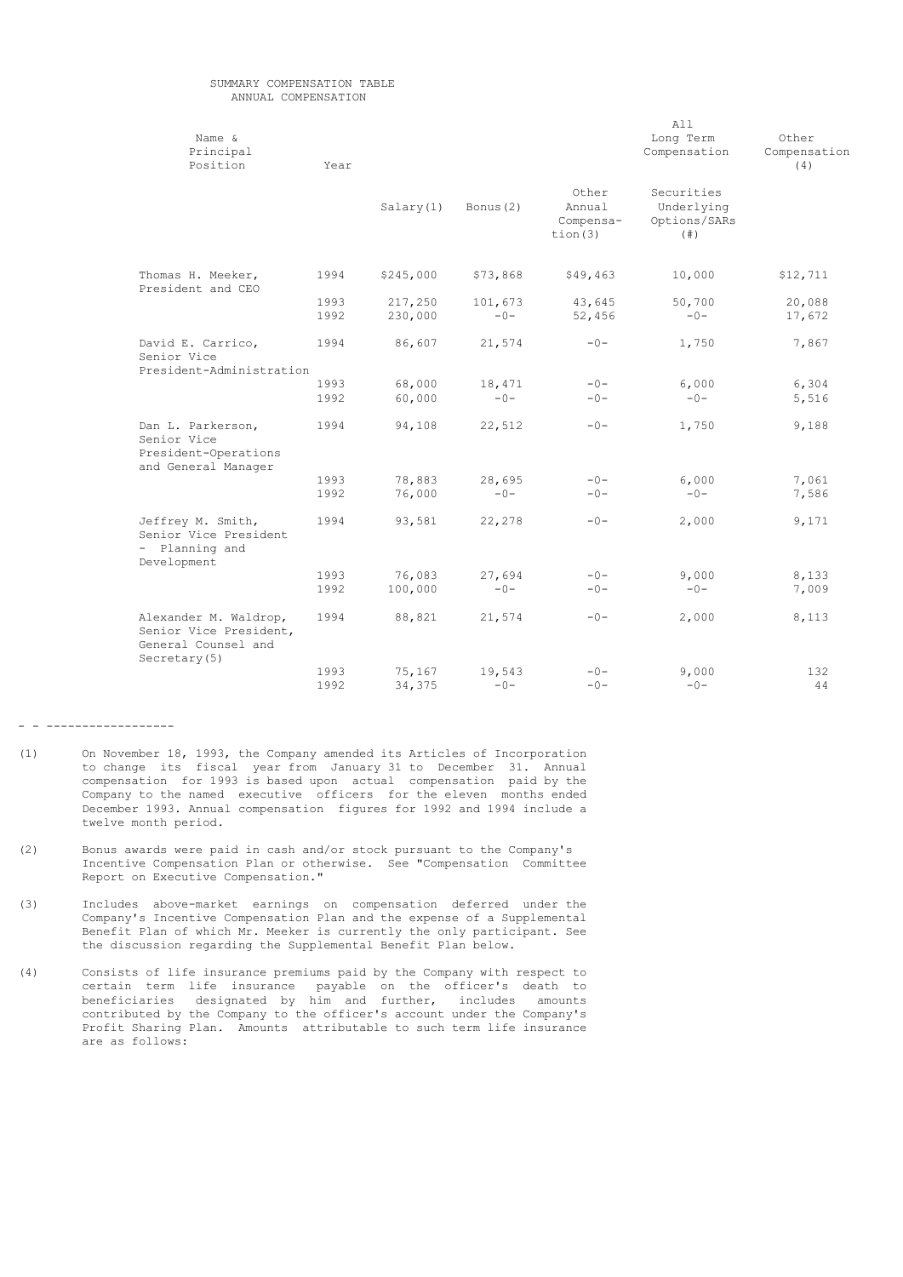## SUMMARY COMPENSATION TABLE ANNUAL COMPENSATION

| Name &<br>Principal<br>Position                                                         | Year         |                    |                  |                                         | All<br>Long Term<br>Compensation                | Other<br>Compensation<br>(4) |
|-----------------------------------------------------------------------------------------|--------------|--------------------|------------------|-----------------------------------------|-------------------------------------------------|------------------------------|
|                                                                                         |              | Salary(1)          | Bonus (2)        | Other<br>Annual<br>Compensa-<br>tion(3) | Securities<br>Underlying<br>Options/SARs<br>( # |                              |
| Thomas H. Meeker,<br>President and CEO                                                  | 1994         | \$245,000          | \$73,868         | \$49,463                                | 10,000                                          | \$12,711                     |
|                                                                                         | 1993<br>1992 | 217,250<br>230,000 | 101,673<br>$-0-$ | 43,645<br>52,456                        | 50,700<br>$-0-$                                 | 20,088<br>17,672             |
| David E. Carrico,<br>Senior Vice<br>President-Administration                            | 1994         | 86,607             | 21,574           | $-0-$                                   | 1,750                                           | 7,867                        |
|                                                                                         | 1993<br>1992 | 68,000<br>60,000   | 18,471<br>$-0-$  | $-0-$<br>$-0-$                          | 6,000<br>$-0-$                                  | 6,304<br>5,516               |
| Dan L. Parkerson,<br>Senior Vice<br>President-Operations<br>and General Manager         | 1994         | 94,108             | 22,512           | $-0-$                                   | 1,750                                           | 9,188                        |
|                                                                                         | 1993<br>1992 | 78,883<br>76,000   | 28,695<br>$-0-$  | $-0-$<br>$-0-$                          | 6,000<br>$-0-$                                  | 7,061<br>7,586               |
| Jeffrey M. Smith,<br>Senior Vice President<br>- Planning and<br>Development             | 1994         | 93,581             | 22,278           | $-0-$                                   | 2,000                                           | 9,171                        |
|                                                                                         | 1993<br>1992 | 76,083<br>100,000  | 27,694<br>$-0-$  | $-0-$<br>$-0-$                          | 9,000<br>$-0-$                                  | 8,133<br>7,009               |
| Alexander M. Waldrop,<br>Senior Vice President,<br>General Counsel and<br>Secretary (5) | 1994         | 88,821             | 21,574           | $-0-$                                   | 2,000                                           | 8,113                        |
|                                                                                         | 1993<br>1992 | 75,167<br>34,375   | 19,543<br>$-0-$  | $-0-$<br>$-0-$                          | 9,000<br>$-0-$                                  | 132<br>44                    |

- - ------------------

- (1) On November 18, 1993, the Company amended its Articles of Incorporation to change its fiscal year from January 31 to December 31. Annual compensation for 1993 is based upon actual compensation paid by the Company to the named executive officers for the eleven months ended December 1993. Annual compensation figures for 1992 and 1994 include a twelve month period.
- (2) Bonus awards were paid in cash and/or stock pursuant to the Company's Incentive Compensation Plan or otherwise. See "Compensation Committee Report on Executive Compensation."
- (3) Includes above-market earnings on compensation deferred under the Company's Incentive Compensation Plan and the expense of a Supplemental Benefit Plan of which Mr. Meeker is currently the only participant. See the discussion regarding the Supplemental Benefit Plan below.
- (4) Consists of life insurance premiums paid by the Company with respect to certain term life insurance payable on the officer's death to beneficiaries designated by him and further, includes amounts contributed by the Company to the officer's account under the Company's Profit Sharing Plan. Amounts attributable to such term life insurance are as follows: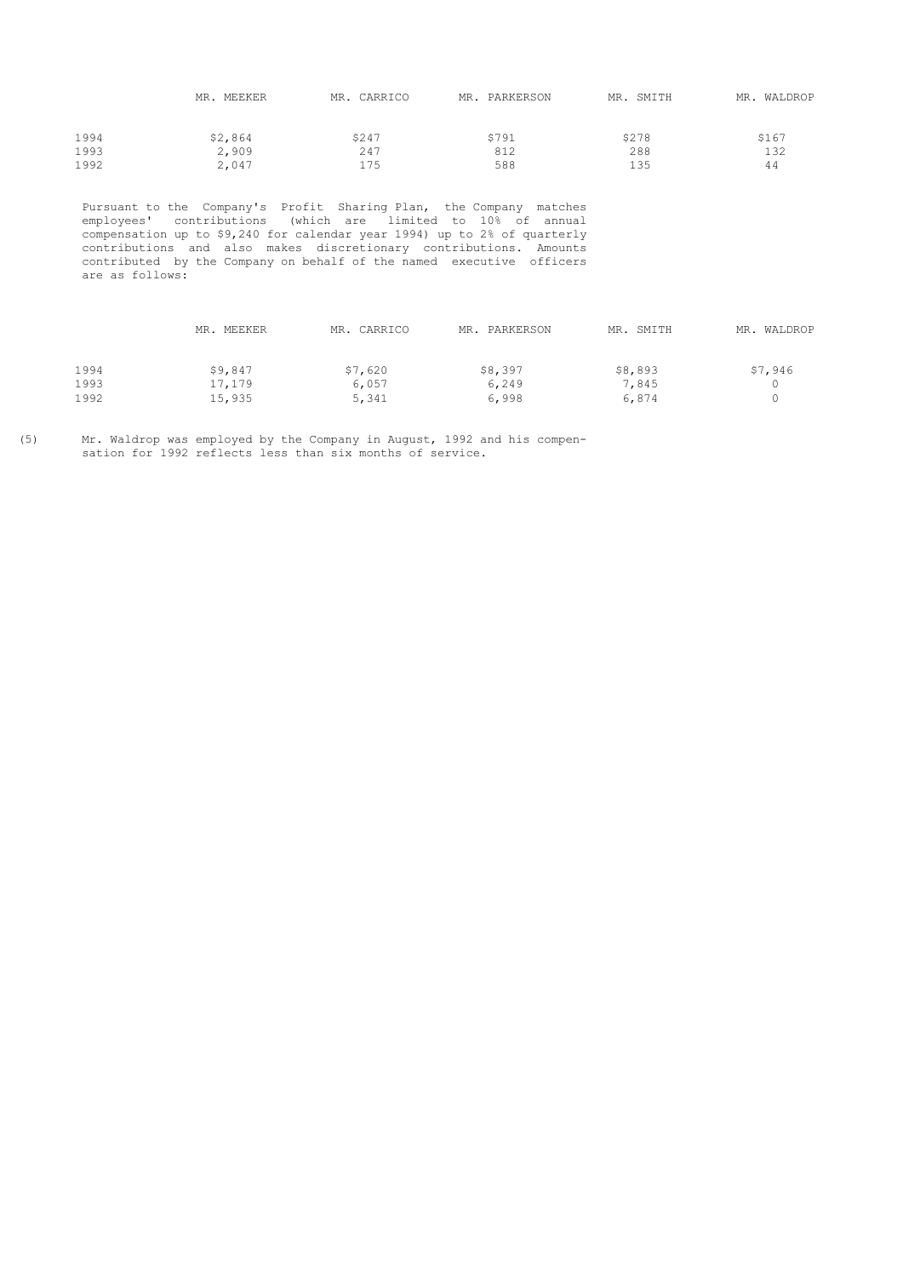|      | MEEKER<br>MR. | MR. CARRICO | . PARKERSON<br>MR. | MR. SMITH | WALDROP<br>MR. |
|------|---------------|-------------|--------------------|-----------|----------------|
| 1994 | \$2,864       | \$247       | \$791              | \$278     | \$167          |
| 1993 | 2,909         | 247         | 812                | 288       | 132            |
| 1992 | 2,047         | 175         | 588                | 135       | 44             |

 Pursuant to the Company's Profit Sharing Plan, the Company matches employees' contributions (which are limited to 10% of annual compensation up to \$9,240 for calendar year 1994) up to 2% of quarterly contributions and also makes discretionary contributions. Amounts contributed by the Company on behalf of the named executive officers are as follows:

|      | MR. MEEKER | MR. CARRICO | MR. PARKERSON | MR. SMITH | MR. WALDROP |
|------|------------|-------------|---------------|-----------|-------------|
| 1994 | \$9,847    | \$7,620     | \$8,397       | \$8,893   | \$7,946     |
| 1993 | 17,179     | 6,057       | 6,249         | 7,845     |             |
| 1992 | 15,935     | 5,341       | 6,998         | 6,874     |             |

(5) Mr. Waldrop was employed by the Company in August, 1992 and his compen sation for 1992 reflects less than six months of service.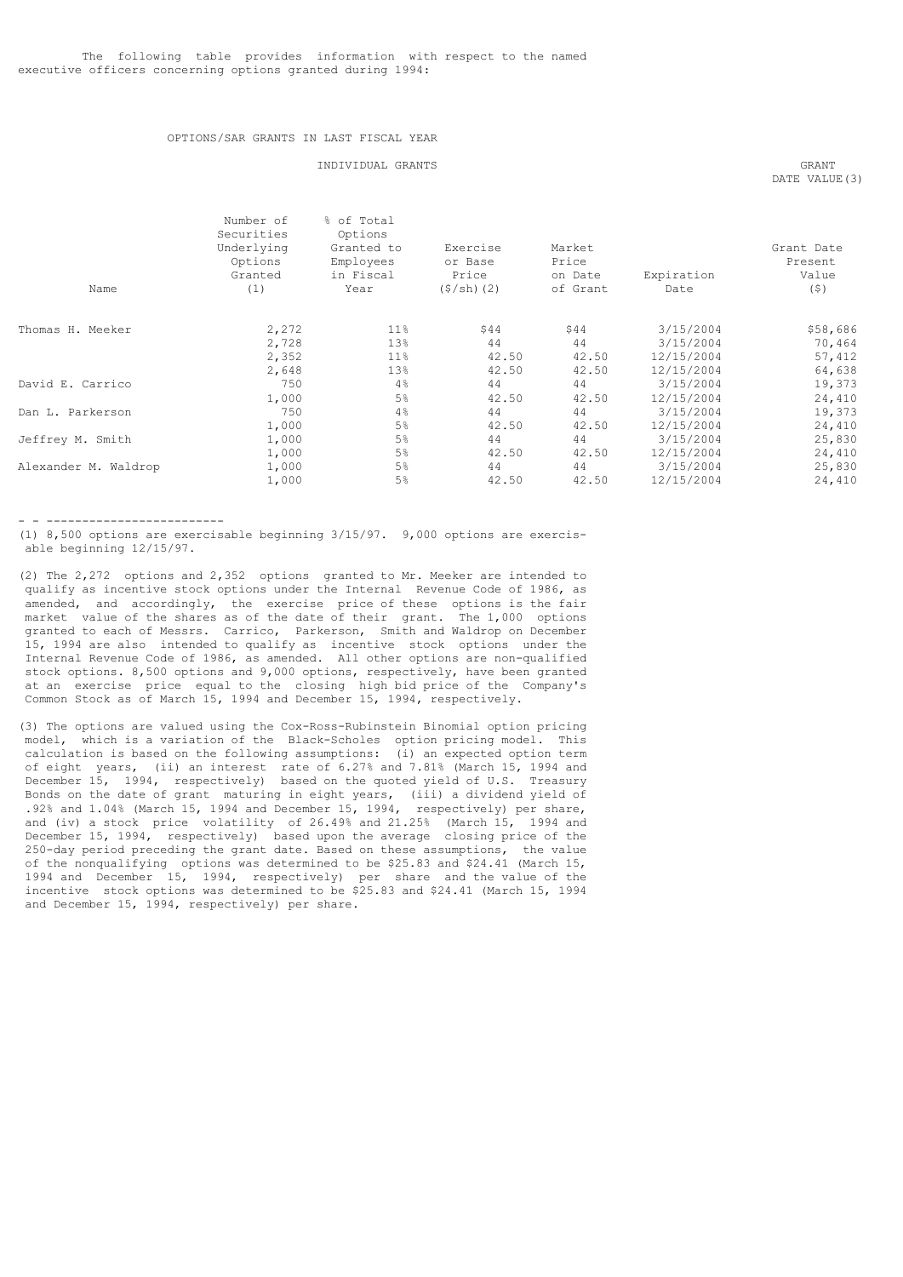## OPTIONS/SAR GRANTS IN LAST FISCAL YEAR

INDIVIDUAL GRANTS GRANTS GRANT GRANT GRANT GRANT GRANT GRANT GRANT GRANT GRANT GRANT GRANT GRANT GRANT GRANT GRANT GRANT GRANT GRANT GRANT GRANT GRANT GRANT GRANT GRANT GRANT GRANT GRANT GRANT GRANT GRANT GRANT GRANT GRANT DATE VALUE(3)

| Name                 | Number of<br>Securities<br>Underlying<br>Options<br>Granted<br>(1) | % of Total<br>Options<br>Granted to<br>Employees<br>in Fiscal<br>Year | Exercise<br>or Base<br>Price<br>$(\frac{\xi}{\sh})$ (2) | Market<br>Price<br>on Date<br>of Grant | Expiration<br>Date | Grant Date<br>Present<br>Value<br>(5) |
|----------------------|--------------------------------------------------------------------|-----------------------------------------------------------------------|---------------------------------------------------------|----------------------------------------|--------------------|---------------------------------------|
| Thomas H. Meeker     | 2,272                                                              | 11%                                                                   | \$44                                                    | \$44                                   | 3/15/2004          | \$58,686                              |
|                      | 2,728                                                              | 13%                                                                   | 44                                                      | 44                                     | 3/15/2004          | 70,464                                |
|                      | 2,352                                                              | 11%                                                                   | 42.50                                                   | 42.50                                  | 12/15/2004         | 57,412                                |
|                      | 2,648                                                              | 13%                                                                   | 42.50                                                   | 42.50                                  | 12/15/2004         | 64,638                                |
| David E. Carrico     | 750                                                                | 4%                                                                    | 44                                                      | 44                                     | 3/15/2004          | 19,373                                |
|                      | 1,000                                                              | 5%                                                                    | 42.50                                                   | 42.50                                  | 12/15/2004         | 24,410                                |
| Dan L. Parkerson     | 750                                                                | 4%                                                                    | 44                                                      | 44                                     | 3/15/2004          | 19,373                                |
|                      | 1,000                                                              | 5%                                                                    | 42.50                                                   | 42.50                                  | 12/15/2004         | 24,410                                |
| Jeffrey M. Smith     | 1,000                                                              | 5%                                                                    | 44                                                      | 44                                     | 3/15/2004          | 25,830                                |
|                      | 1,000                                                              | 5%                                                                    | 42.50                                                   | 42.50                                  | 12/15/2004         | 24,410                                |
| Alexander M. Waldrop | 1,000                                                              | 5%                                                                    | 44                                                      | 44                                     | 3/15/2004          | 25,830                                |
|                      | 1,000                                                              | 5%                                                                    | 42.50                                                   | 42.50                                  | 12/15/2004         | 24,410                                |
|                      |                                                                    |                                                                       |                                                         |                                        |                    |                                       |

- - -------------------------

(1) 8,500 options are exercisable beginning 3/15/97. 9,000 options are exercis able beginning 12/15/97.

(2) The 2,272 options and 2,352 options granted to Mr. Meeker are intended to qualify as incentive stock options under the Internal Revenue Code of 1986, as amended, and accordingly, the exercise price of these options is the fair market value of the shares as of the date of their grant. The 1,000 options granted to each of Messrs. Carrico, Parkerson, Smith and Waldrop on December 15, 1994 are also intended to qualify as incentive stock options under the Internal Revenue Code of 1986, as amended. All other options are non-qualified stock options. 8,500 options and 9,000 options, respectively, have been granted at an exercise price equal to the closing high bid price of the Company's Common Stock as of March 15, 1994 and December 15, 1994, respectively.

(3) The options are valued using the Cox-Ross-Rubinstein Binomial option pricing model, which is a variation of the Black-Scholes option pricing model. This calculation is based on the following assumptions: (i) an expected option term of eight years, (ii) an interest rate of 6.27% and 7.81% (March 15, 1994 and December 15, 1994, respectively) based on the quoted yield of U.S. Treasury Bonds on the date of grant maturing in eight years, (iii) a dividend yield of .92% and 1.04% (March 15, 1994 and December 15, 1994, respectively) per share, and (iv) a stock price volatility of 26.49% and 21.25% (March 15, 1994 and December 15, 1994, respectively) based upon the average closing price of the 250-day period preceding the grant date. Based on these assumptions, the value of the nonqualifying options was determined to be \$25.83 and \$24.41 (March 15, 1994 and December 15, 1994, respectively) per share and the value of the incentive stock options was determined to be \$25.83 and \$24.41 (March 15, 1994 and December 15, 1994, respectively) per share.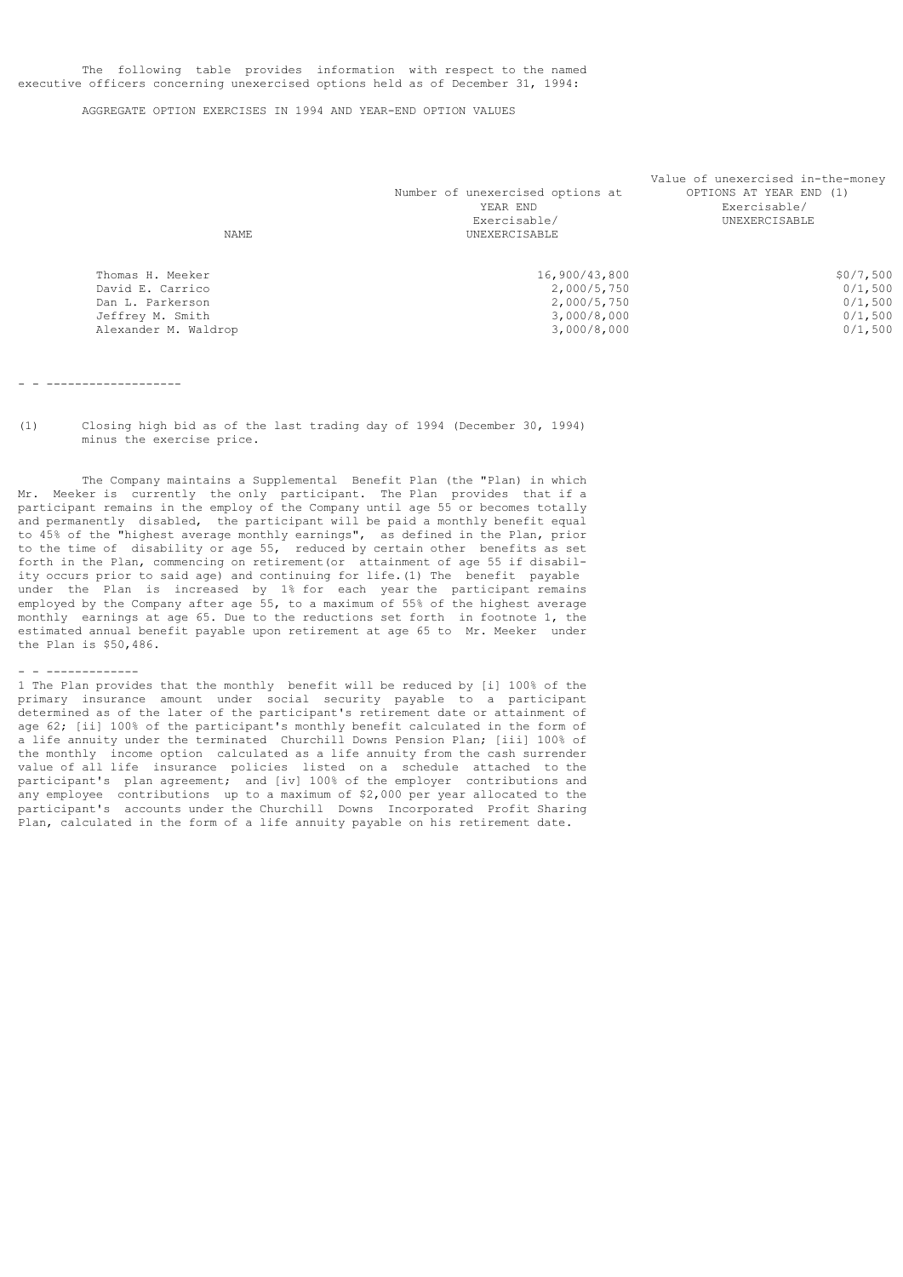The following table provides information with respect to the named executive officers concerning unexercised options held as of December 31, 1994:

AGGREGATE OPTION EXERCISES IN 1994 AND YEAR-END OPTION VALUES

| NAME             | Number of unexercised options at<br>YEAR END<br>Exercisable/<br>UNEXERCISABLE | Value of unexercised in-the-money<br>OPTIONS AT YEAR END (1)<br>Exercisable/<br>UNEXERCISABLE |  |
|------------------|-------------------------------------------------------------------------------|-----------------------------------------------------------------------------------------------|--|
| Thomas H. Meeker | 16,900/43,800                                                                 | \$0/7,500                                                                                     |  |
| David E. Carrico | 2,000/5,750                                                                   | 0/1,500                                                                                       |  |
| Dan L. Parkerson | 2,000/5,750                                                                   | 0/1,500                                                                                       |  |
| Jeffrey M. Smith | 3,000/8,000                                                                   | 0/1,500                                                                                       |  |

Alexander M. Waldrop 3,000/8,000 0/1,500

Jeffrey M. Smith 3,000/8,000 0/1,500

#### - - -------------------

(1) Closing high bid as of the last trading day of 1994 (December 30, 1994) minus the exercise price.

 The Company maintains a Supplemental Benefit Plan (the "Plan) in which Mr. Meeker is currently the only participant. The Plan provides that if a participant remains in the employ of the Company until age 55 or becomes totally and permanently disabled, the participant will be paid a monthly benefit equal to 45% of the "highest average monthly earnings", as defined in the Plan, prior to the time of disability or age 55, reduced by certain other benefits as set forth in the Plan, commencing on retirement (or attainment of age 55 if disability occurs prior to said age) and continuing for life.(1) The benefit payable under the Plan is increased by 1% for each year the participant remains employed by the Company after age 55, to a maximum of 55% of the highest average monthly earnings at age 65. Due to the reductions set forth in footnote 1, the estimated annual benefit payable upon retirement at age 65 to Mr. Meeker under the Plan is \$50,486.

## - - -------------

1 The Plan provides that the monthly benefit will be reduced by [i] 100% of the primary insurance amount under social security payable to a participant determined as of the later of the participant's retirement date or attainment of age 62; [ii] 100% of the participant's monthly benefit calculated in the form of a life annuity under the terminated Churchill Downs Pension Plan; [iii] 100% of the monthly income option calculated as a life annuity from the cash surrender value of all life insurance policies listed on a schedule attached to the participant's plan agreement; and [iv] 100% of the employer contributions and any employee contributions up to a maximum of \$2,000 per year allocated to the participant's accounts under the Churchill Downs Incorporated Profit Sharing Plan, calculated in the form of a life annuity payable on his retirement date.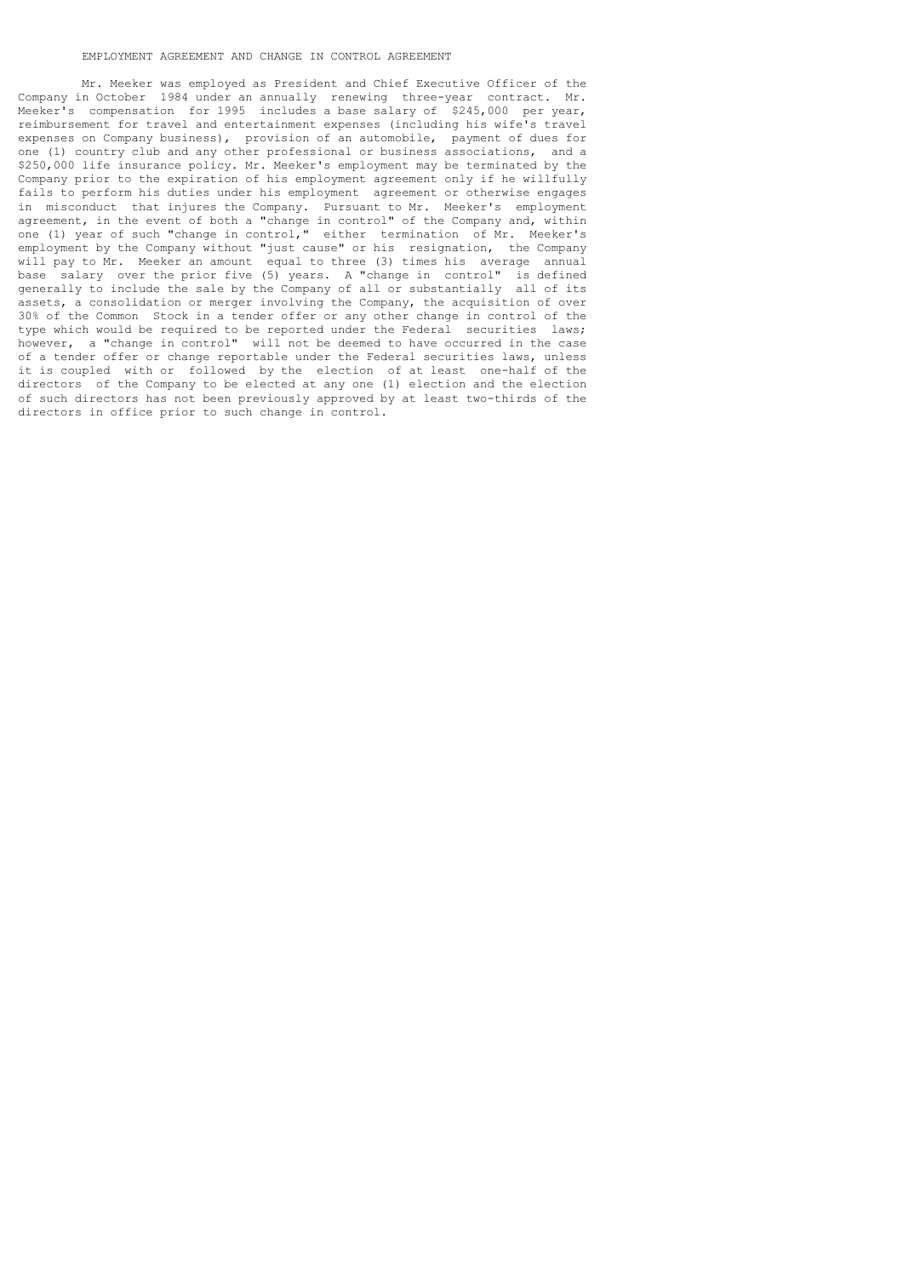# EMPLOYMENT AGREEMENT AND CHANGE IN CONTROL AGREEMENT

 Mr. Meeker was employed as President and Chief Executive Officer of the Company in October 1984 under an annually renewing three-year contract. Mr. Meeker's compensation for 1995 includes a base salary of \$245,000 per year, reimbursement for travel and entertainment expenses (including his wife's travel expenses on Company business), provision of an automobile, payment of dues for one (1) country club and any other professional or business associations, and a \$250,000 life insurance policy. Mr. Meeker's employment may be terminated by the Company prior to the expiration of his employment agreement only if he willfully fails to perform his duties under his employment agreement or otherwise engages in misconduct that injures the Company. Pursuant to Mr. Meeker's employment agreement, in the event of both a "change in control" of the Company and, within one (1) year of such "change in control," either termination of Mr. Meeker's employment by the Company without "just cause" or his resignation, the Company will pay to Mr. Meeker an amount equal to three (3) times his average annual base salary over the prior five (5) years. A "change in control" is defined generally to include the sale by the Company of all or substantially all of its generally to include the sale by the Company of all or substantially assets, a consolidation or merger involving the Company, the acquisition of over 30% of the Common Stock in a tender offer or any other change in control of the type which would be required to be reported under the Federal securities laws; however, a "change in control" will not be deemed to have occurred in the case of a tender offer or change reportable under the Federal securities laws, unless it is coupled with or followed by the election of at least one-half of the directors of the Company to be elected at any one (1) election and the election of such directors has not been previously approved by at least two-thirds of the directors in office prior to such change in control.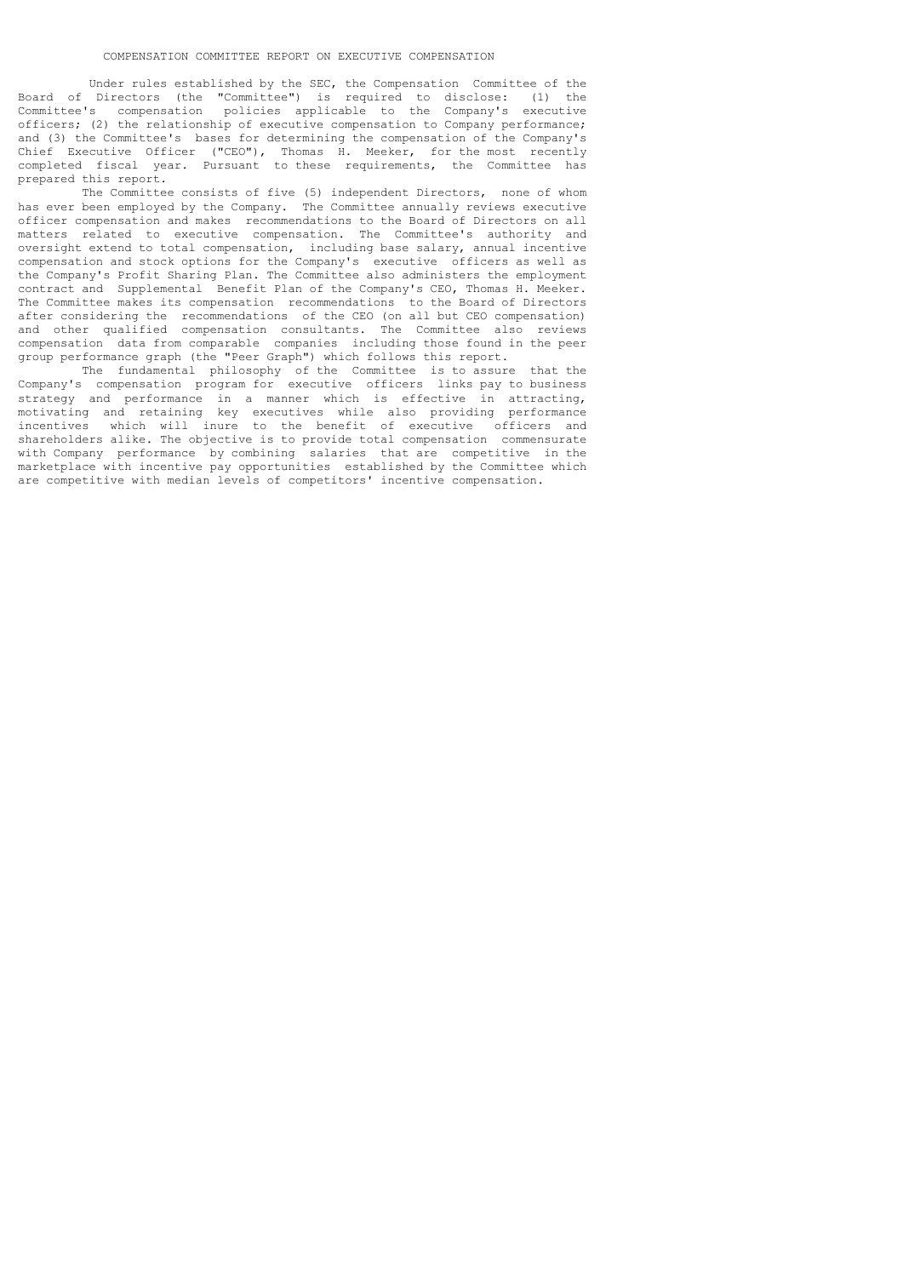Under rules established by the SEC, the Compensation Committee of the Board of Directors (the "Committee") is required to disclose: (1) the Committee's compensation policies applicable to the Company's executive officers; (2) the relationship of executive compensation to Company performance; and (3) the Committee's bases for determining the compensation of the Company's Chief Executive Officer ("CEO"), Thomas H. Meeker, for the most recently completed fiscal year. Pursuant to these requirements, the Committee has prepared this report.

 The Committee consists of five (5) independent Directors, none of whom has ever been employed by the Company. The Committee annually reviews executive officer compensation and makes recommendations to the Board of Directors on all matters related to executive compensation. The Committee's authority and oversight extend to total compensation, including base salary, annual incentive compensation and stock options for the Company's executive officers as well as the Company's Profit Sharing Plan. The Committee also administers the employment contract and Supplemental Benefit Plan of the Company's CEO, Thomas H. Meeker. The Committee makes its compensation recommendations to the Board of Directors after considering the recommendations of the CEO (on all but CEO compensation) and other qualified compensation consultants. The Committee also reviews compensation data from comparable companies including those found in the peer group performance graph (the "Peer Graph") which follows this report.

 The fundamental philosophy of the Committee is to assure that the Company's compensation program for executive officers links pay to business strategy and performance in a manner which is effective in attracting, motivating and retaining key executives while also providing performance incentives which will inure to the benefit of executive officers and shareholders alike. The objective is to provide total compensation commensurate with Company performance by combining salaries that are competitive in the marketplace with incentive pay opportunities established by the Committee which are competitive with median levels of competitors' incentive compensation.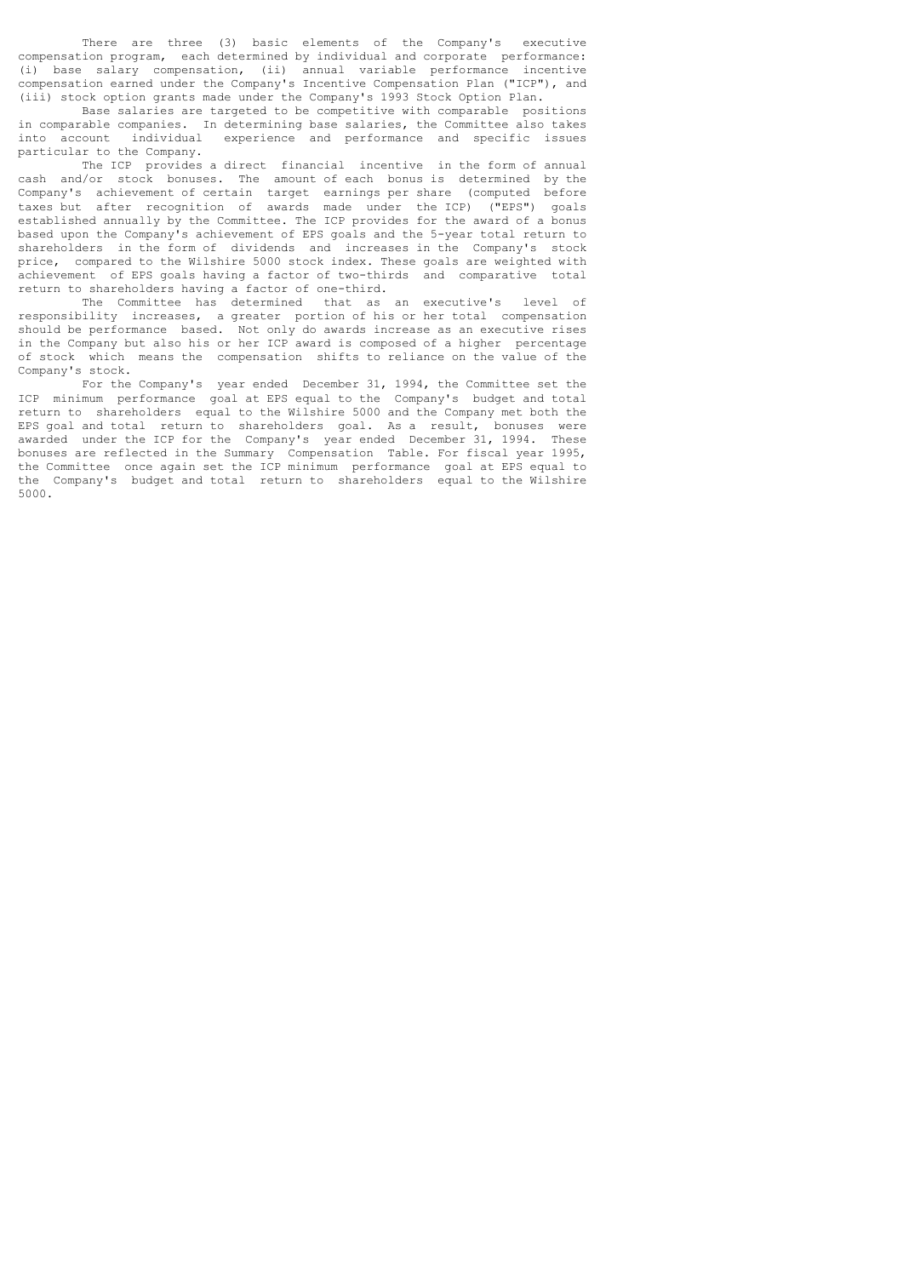There are three (3) basic elements of the Company's executive compensation program, each determined by individual and corporate performance: (i) base salary compensation, (ii) annual variable performance incentive compensation earned under the Company's Incentive Compensation Plan ("ICP"), and (iii) stock option grants made under the Company's 1993 Stock Option Plan.

 Base salaries are targeted to be competitive with comparable positions in comparable companies. In determining base salaries, the Committee also takes into account individual experience and performance and specific issues particular to the Company.

The ICP provides a direct financial incentive in the form of annual cash and/or stock bonuses. The amount of each bonus is determined by the Company's achievement of certain target earnings per share (computed before taxes but after recognition of awards made under the ICP) ("EPS") goals established annually by the Committee. The ICP provides for the award of a bonus based upon the Company's achievement of EPS goals and the 5-year total return to shareholders in the form of dividends and increases in the Company's stock price, compared to the Wilshire 5000 stock index. These goals are weighted with achievement of EPS goals having a factor of two-thirds and comparative total return to shareholders having a factor of one-third.

 The Committee has determined that as an executive's level of responsibility increases, a greater portion of his or her total compensation should be performance based. Not only do awards increase as an executive rises in the Company but also his or her ICP award is composed of a higher percentage of stock which means the compensation shifts to reliance on the value of the Company's stock.

 For the Company's year ended December 31, 1994, the Committee set the ICP minimum performance goal at EPS equal to the Company's budget and total return to shareholders equal to the Wilshire 5000 and the Company met both the EPS goal and total return to shareholders goal. As a result, bonuses were awarded under the ICP for the Company's year ended December 31, 1994. These bonuses are reflected in the Summary Compensation Table. For fiscal year 1995, the Committee once again set the ICP minimum performance goal at EPS equal to the Company's budget and total return to shareholders equal to the Wilshire 5000.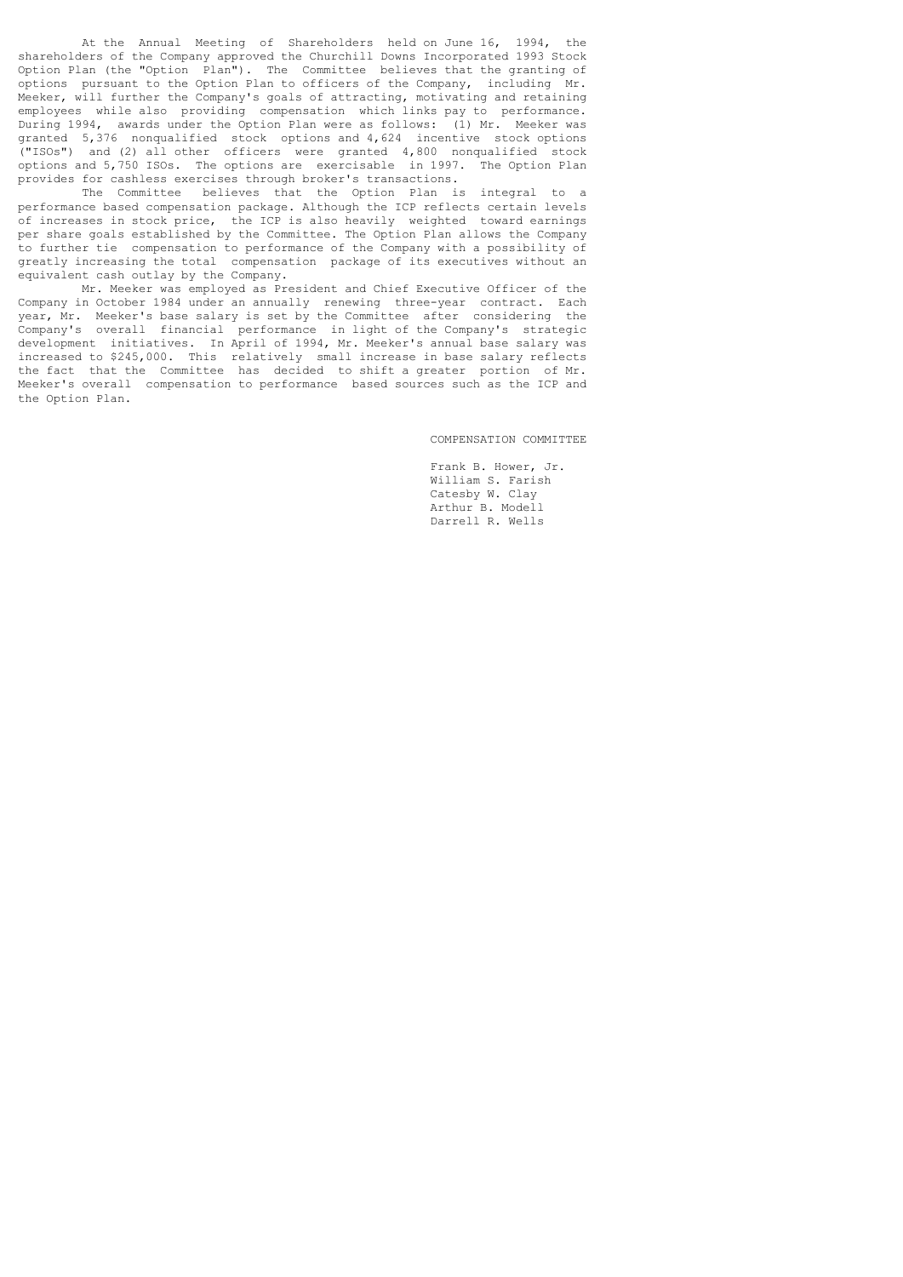At the Annual Meeting of Shareholders held on June 16, 1994, the shareholders of the Company approved the Churchill Downs Incorporated 1993 Stock Option Plan (the "Option Plan"). The Committee believes that the granting of options pursuant to the Option Plan to officers of the Company, including Mr. Meeker, will further the Company's goals of attracting, motivating and retaining employees while also providing compensation which links pay to performance. During 1994, awards under the Option Plan were as follows: (1) Mr. Meeker was granted 5,376 nonqualified stock options and 4,624 incentive stock options ("ISOs") and (2) all other officers were granted 4,800 nonqualified stock options and 5,750 ISOs. The options are exercisable in 1997. The Option Plan provides for cashless exercises through broker's transactions.

The Committee believes that the Option Plan is integral to a performance based compensation package. Although the ICP reflects certain levels of increases in stock price, the ICP is also heavily weighted toward earnings per share goals established by the Committee. The Option Plan allows the Company to further tie compensation to performance of the Company with a possibility of greatly increasing the total compensation package of its executives without an equivalent cash outlay by the Company.

 Mr. Meeker was employed as President and Chief Executive Officer of the Company in October 1984 under an annually renewing three-year contract. Each year, Mr. Meeker's base salary is set by the Committee after considering the Company's overall financial performance in light of the Company's strategic development initiatives. In April of 1994, Mr. Meeker's annual base salary was increased to \$245,000. This relatively small increase in base salary reflects the fact that the Committee has decided to shift a greater portion of Mr. Meeker's overall compensation to performance based sources such as the ICP and the Option Plan.

COMPENSATION COMMITTEE

 Frank B. Hower, Jr. William S. Farish Catesby W. Clay Arthur B. Modell Darrell R. Wells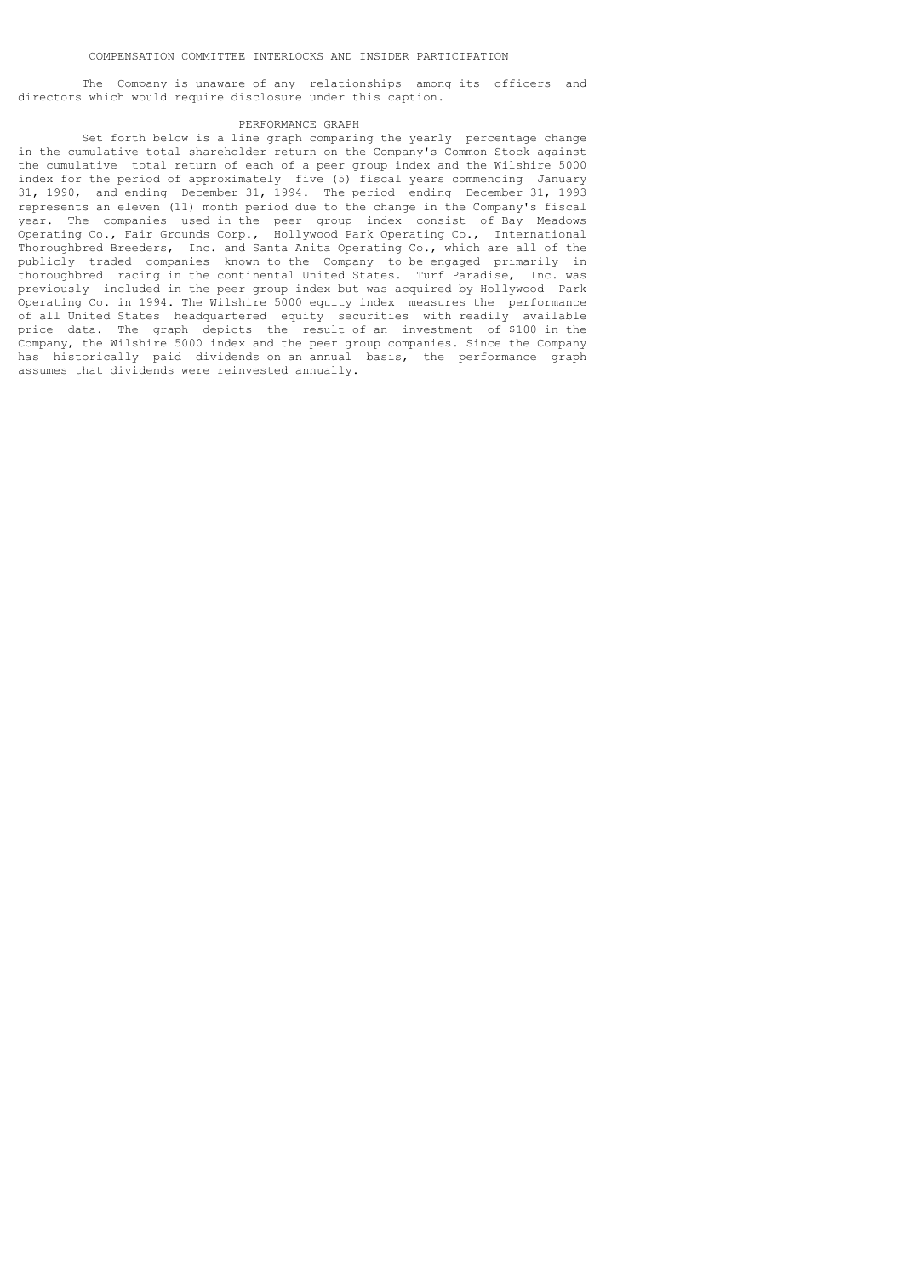The Company is unaware of any relationships among its officers and directors which would require disclosure under this caption.

## PERFORMANCE GRAPH

 Set forth below is a line graph comparing the yearly percentage change in the cumulative total shareholder return on the Company's Common Stock against the cumulative total return of each of a peer group index and the Wilshire 5000 index for the period of approximately five (5) fiscal years commencing January 31, 1990, and ending December 31, 1994. The period ending December 31, 1993 represents an eleven (11) month period due to the change in the Company's fiscal year. The companies used in the peer group index consist of Bay Meadows Operating Co., Fair Grounds Corp., Hollywood Park Operating Co., International Thoroughbred Breeders, Inc. and Santa Anita Operating Co., which are all of the publicly traded companies known to the Company to be engaged primarily in thoroughbred racing in the continental United States. Turf Paradise, Inc. was previously included in the peer group index but was acquired by Hollywood Park Operating Co. in 1994. The Wilshire 5000 equity index measures the performance of all United States headquartered equity securities with readily available price data. The graph depicts the result of an investment of \$100 in the Company, the Wilshire 5000 index and the peer group companies. Since the Company has historically paid dividends on an annual basis, the performance graph assumes that dividends were reinvested annually.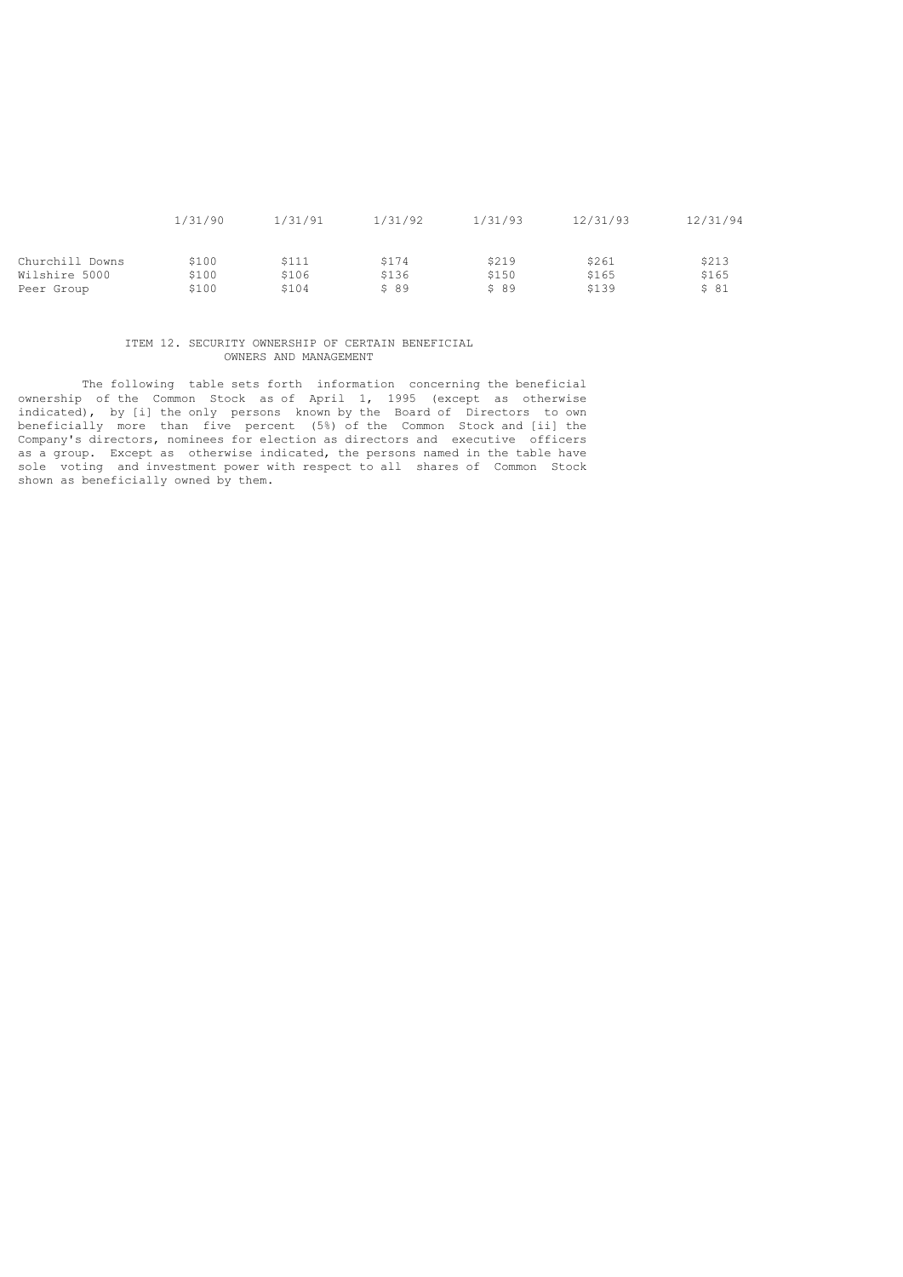|                 | 1/31/90 | 1/31/91 | 1/31/92 | 1/31/93 | 12/31/93 | 12/31/94 |
|-----------------|---------|---------|---------|---------|----------|----------|
| Churchill Downs | \$100   | \$111   | \$174   | \$219   | \$261    | \$213    |
| Wilshire 5000   | \$100   | \$106   | \$136   | \$150   | \$165    | \$165    |
| Peer Group      | \$100   | \$104   | \$89    | \$89    | \$139    | \$81     |

# ITEM 12. SECURITY OWNERSHIP OF CERTAIN BENEFICIAL OWNERS AND MANAGEMENT

 The following table sets forth information concerning the beneficial ownership of the Common Stock as of April 1, 1995 (except as otherwise indicated), by [i] the only persons known by the Board of Directors to own beneficially more than five percent (5%) of the Common Stock and [ii] the Company's directors, nominees for election as directors and executive officers as a group. Except as otherwise indicated, the persons named in the table have sole voting and investment power with respect to all shares of Common Stock shown as beneficially owned by them.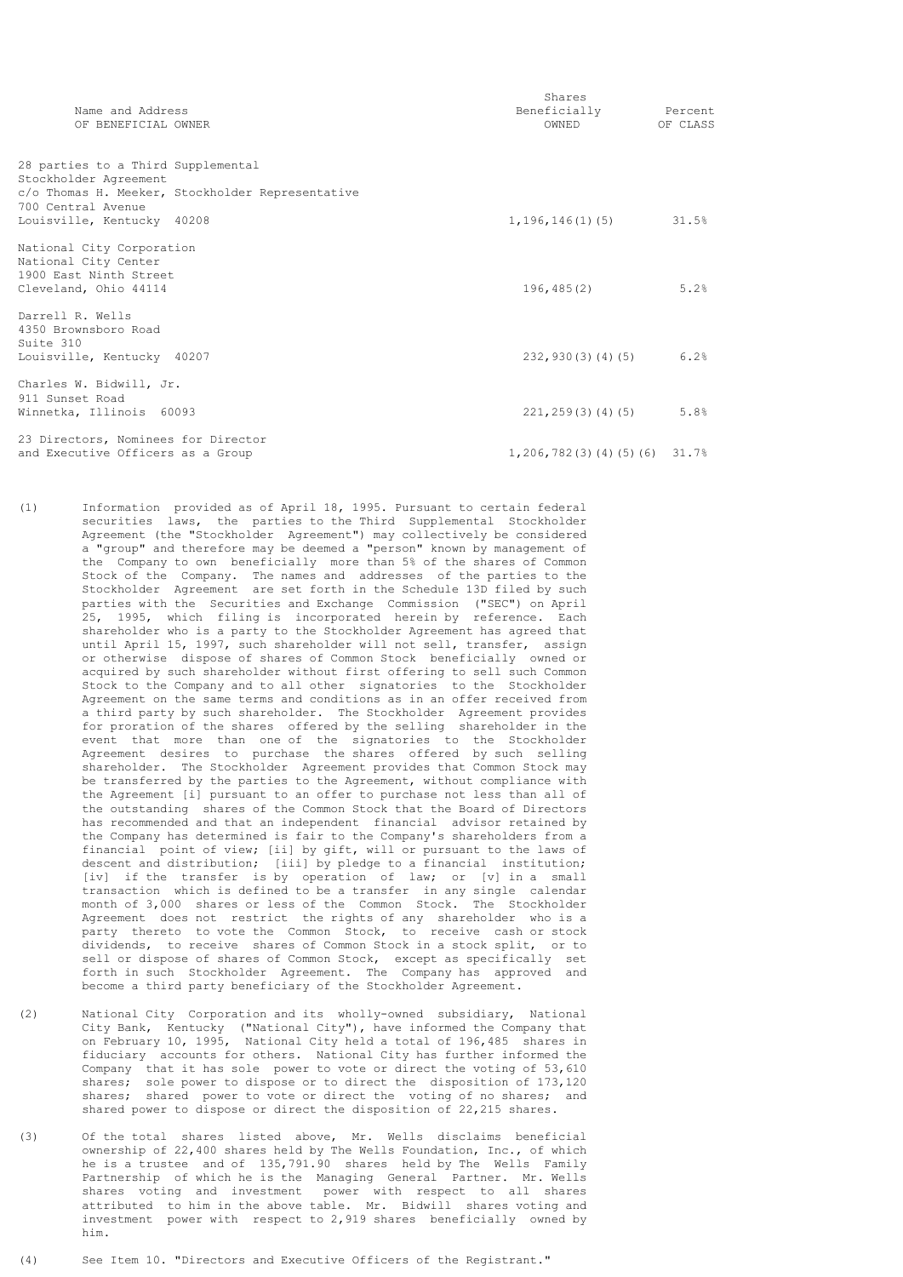|                                                                        | Shares                          |          |  |  |
|------------------------------------------------------------------------|---------------------------------|----------|--|--|
| Name and Address                                                       | Beneficially                    | Percent  |  |  |
| OF BENEFICIAL OWNER                                                    | <b>OWNED</b>                    | OF CLASS |  |  |
| 28 parties to a Third Supplemental                                     |                                 |          |  |  |
| Stockholder Agreement                                                  |                                 |          |  |  |
| c/o Thomas H. Meeker, Stockholder Representative<br>700 Central Avenue |                                 |          |  |  |
| Louisville, Kentucky 40208                                             | $1, 196, 146(1)$ (5)            | 31.5%    |  |  |
| National City Corporation                                              |                                 |          |  |  |
| National City Center                                                   |                                 |          |  |  |
| 1900 East Ninth Street                                                 |                                 |          |  |  |
| Cleveland, Ohio 44114                                                  | 196, 485(2)                     | 5.2%     |  |  |
| Darrell R. Wells                                                       |                                 |          |  |  |
| 4350 Brownsboro Road                                                   |                                 |          |  |  |
| Suite 310                                                              |                                 |          |  |  |
| Louisville, Kentucky 40207                                             | 232,930(3)(4)(5)                | 6.2%     |  |  |
| Charles W. Bidwill, Jr.                                                |                                 |          |  |  |
| 911 Sunset Road                                                        |                                 |          |  |  |
| Winnetka, Illinois 60093                                               | $221, 259(3)$ (4)(5)            | 5.8%     |  |  |
| 23 Directors, Nominees for Director                                    |                                 |          |  |  |
| and Executive Officers as a Group                                      | $1, 206, 782(3)(4)(5)(6)$ 31.7% |          |  |  |

- (1) Information provided as of April 18, 1995. Pursuant to certain federal securities laws, the parties to the Third Supplemental Stockholder Agreement (the "Stockholder Agreement") may collectively be considered a "group" and therefore may be deemed a "person" known by management of the Company to own beneficially more than 5% of the shares of Common Stock of the Company. The names and addresses of the parties to the Stockholder Agreement are set forth in the Schedule 13D filed by such parties with the Securities and Exchange Commission ("SEC") on April 25, 1995, which filing is incorporated herein by reference. Each shareholder who is a party to the Stockholder Agreement has agreed that until April 15, 1997, such shareholder will not sell, transfer, assign or otherwise dispose of shares of Common Stock beneficially owned or acquired by such shareholder without first offering to sell such Common Stock to the Company and to all other signatories to the Stockholder Agreement on the same terms and conditions as in an offer received from a third party by such shareholder. The Stockholder Agreement provides for proration of the shares offered by the selling shareholder in the event that more than one of the signatories to the Stockholder Agreement desires to purchase the shares offered by such selling shareholder. The Stockholder Agreement provides that Common Stock may be transferred by the parties to the Agreement, without compliance with the Agreement [i] pursuant to an offer to purchase not less than all of the outstanding shares of the Common Stock that the Board of Directors has recommended and that an independent financial advisor retained by the Company has determined is fair to the Company's shareholders from a financial point of view; [ii] by gift, will or pursuant to the laws of descent and distribution; [iii] by pledge to a financial institution; [iv] if the transfer is by operation of law; or [v] in a small transaction which is defined to be a transfer in any single calendar month of 3,000 shares or less of the Common Stock. The Stockholder Agreement does not restrict the rights of any shareholder who is a party thereto to vote the Common Stock, to receive cash or stock dividends, to receive shares of Common Stock in a stock split, or to sell or dispose of shares of Common Stock, except as specifically set forth in such Stockholder Agreement. The Company has approved and become a third party beneficiary of the Stockholder Agreement.
- (2) National City Corporation and its wholly-owned subsidiary, National City Bank, Kentucky ("National City"), have informed the Company that on February 10, 1995, National City held a total of 196,485 shares in fiduciary accounts for others. National City has further informed the Company that it has sole power to vote or direct the voting of 53,610 shares; sole power to dispose or to direct the disposition of 173,120 shares; shared power to vote or direct the voting of no shares; and shared power to dispose or direct the disposition of 22,215 shares.
- (3) Of the total shares listed above, Mr. Wells disclaims beneficial ownership of 22,400 shares held by The Wells Foundation, Inc., of which he is a trustee and of 135,791.90 shares held by The Wells Family Partnership of which he is the Managing General Partner. Mr. Wells shares voting and investment power with respect to all shares attributed to him in the above table. Mr. Bidwill shares voting and investment power with respect to 2,919 shares beneficially owned by him.
- (4) See Item 10. "Directors and Executive Officers of the Registrant."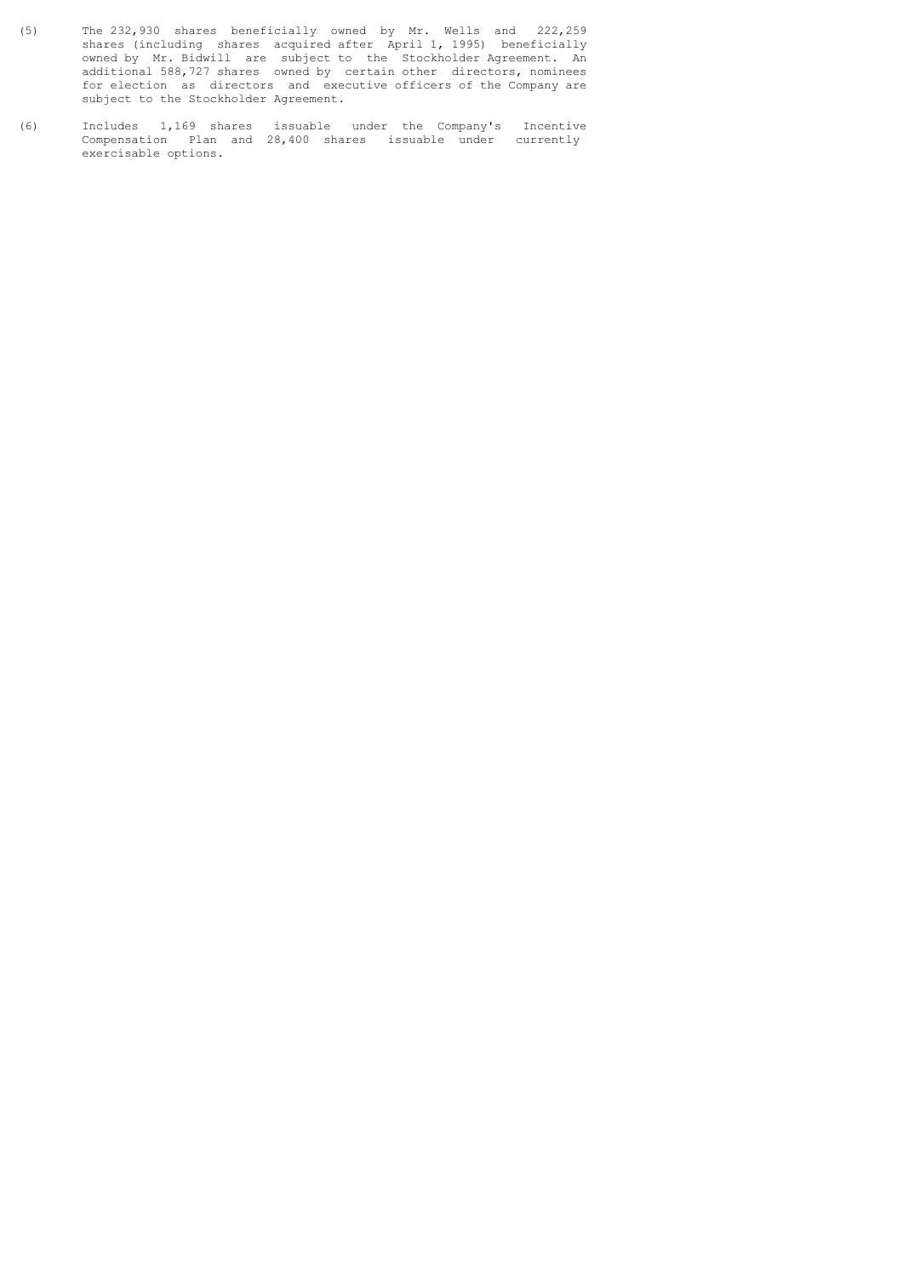- (5) The 232,930 shares beneficially owned by Mr. Wells and 222,259 shares (including shares acquired after April 1, 1995) beneficially owned by Mr. Bidwill are subject to the Stockholder Agreement. An additional 588,727 shares owned by certain other directors, nominees for election as directors and executive officers of the Company are subject to the Stockholder Agreement.
- (6) Includes 1,169 shares issuable under the Company's Incentive Compensation Plan and 28,400 shares issuable under currently exercisable options.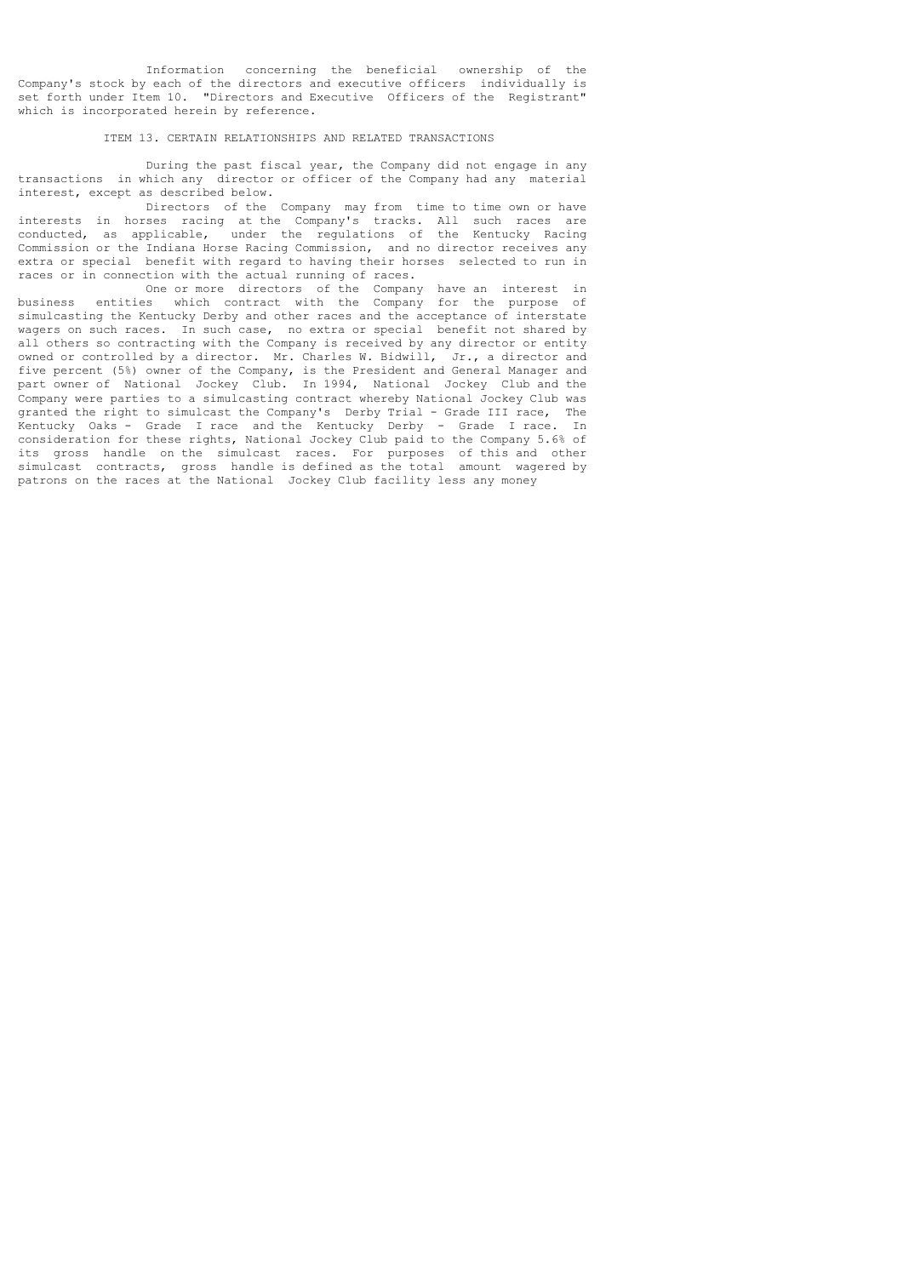Information concerning the beneficial ownership of the Company's stock by each of the directors and executive officers individually is set forth under Item 10. "Directors and Executive Officers of the Registrant" which is incorporated herein by reference.

## ITEM 13. CERTAIN RELATIONSHIPS AND RELATED TRANSACTIONS

 During the past fiscal year, the Company did not engage in any transactions in which any director or officer of the Company had any material interest, except as described below.

 Directors of the Company may from time to time own or have interests in horses racing at the Company's tracks. All such races are conducted, as applicable, under the regulations of the Kentucky Racing Commission or the Indiana Horse Racing Commission, and no director receives any extra or special benefit with regard to having their horses selected to run in races or in connection with the actual running of races.

 One or more directors of the Company have an interest in business entities which contract with the Company for the purpose of simulcasting the Kentucky Derby and other races and the acceptance of interstate wagers on such races. In such case, no extra or special benefit not shared by all others so contracting with the Company is received by any director or entity owned or controlled by a director. Mr. Charles W. Bidwill, Jr., a director and five percent (5%) owner of the Company, is the President and General Manager and part owner of National Jockey Club. In 1994, National Jockey Club and the Company were parties to a simulcasting contract whereby National Jockey Club was granted the right to simulcast the Company's Derby Trial - Grade III race, The Kentucky Oaks - Grade I race and the Kentucky Derby - Grade I race. In consideration for these rights, National Jockey Club paid to the Company 5.6% of its gross handle on the simulcast races. For purposes of this and other simulcast contracts, gross handle is defined as the total amount wagered by patrons on the races at the National Jockey Club facility less any money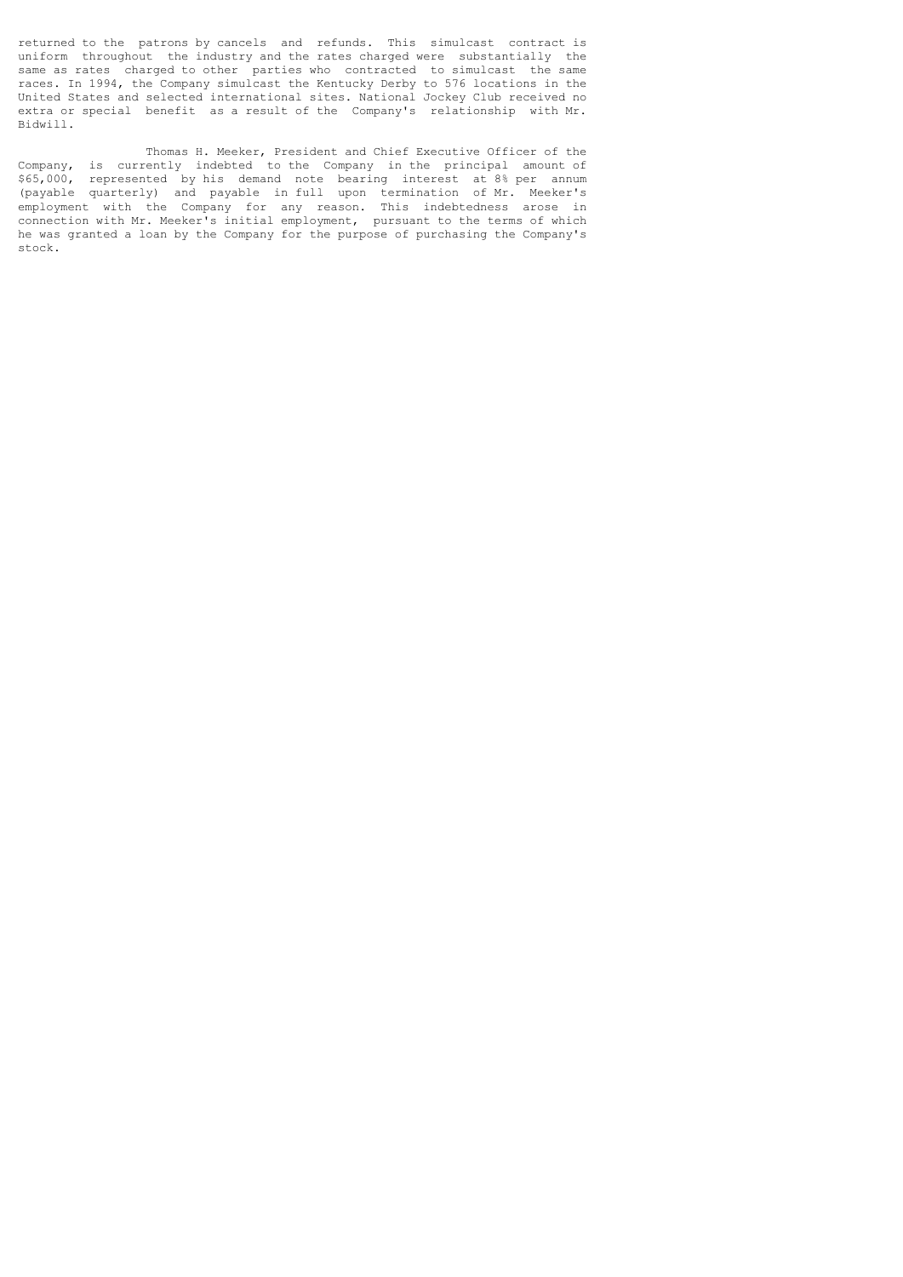returned to the patrons by cancels and refunds. This simulcast contract is uniform throughout the industry and the rates charged were substantially the same as rates charged to other parties who contracted to simulcast the same races. In 1994, the Company simulcast the Kentucky Derby to 576 locations in the United States and selected international sites. National Jockey Club received no extra or special benefit as a result of the Company's relationship with Mr. Bidwill.

 Thomas H. Meeker, President and Chief Executive Officer of the Company, is currently indebted to the Company in the principal amount of \$65,000, represented by his demand note bearing interest at 8% per annum (payable quarterly) and payable in full upon termination of Mr. Meeker's employment with the Company for any reason. This indebtedness arose in connection with Mr. Meeker's initial employment, pursuant to the terms of which he was granted a loan by the Company for the purpose of purchasing the Company's stock.